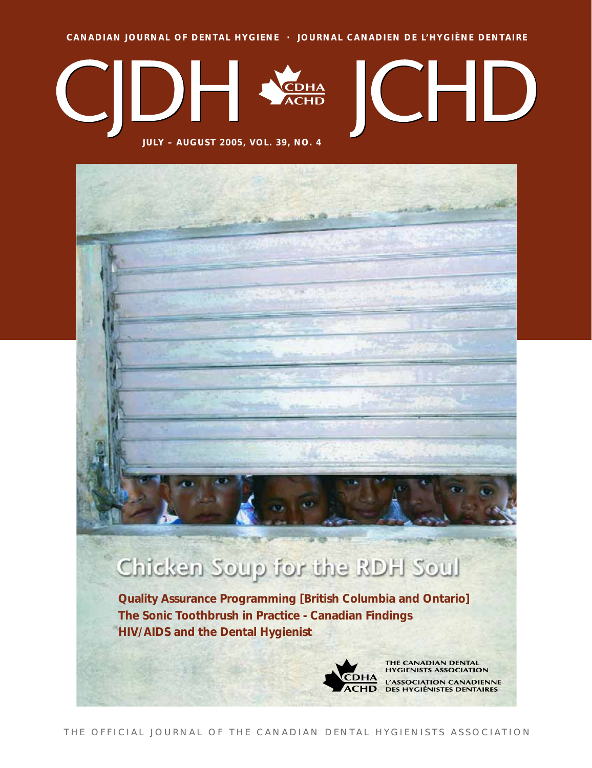**CANADIAN JOURNAL OF DENTAL HYGIENE · JOURNAL CANADIEN DE L'HYGIÈNE DENTAIRE**



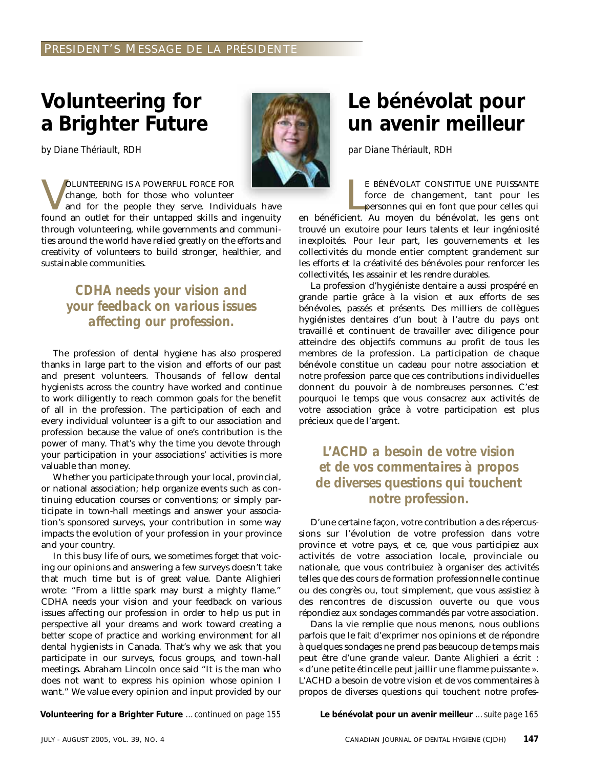## **Volunteering for a Brighter Future**

*by Diane Thériault, RDH*

sustainable communities.

**VOLUNTEERING IS A POWERFUL FORCE FOR**<br>change, both for those who volunteer<br>and for the people they serve. Indivi<br>found an outlet for their untanned skills and change, both for those who volunteer and for the people they serve. Individuals have found an outlet for their untapped skills and ingenuity through volunteering, while governments and communities around the world have relied greatly on the efforts and creativity of volunteers to build stronger, healthier, and

### *CDHA needs your vision and your feedback on various issues affecting our profession.*

The profession of dental hygiene has also prospered thanks in large part to the vision and efforts of our past and present volunteers. Thousands of fellow dental hygienists across the country have worked and continue to work diligently to reach common goals for the benefit of all in the profession. The participation of each and every individual volunteer is a gift to our association and profession because the value of one's contribution is the power of many. That's why the time you devote through your participation in your associations' activities is more valuable than money.

Whether you participate through your local, provincial, or national association; help organize events such as continuing education courses or conventions; or simply participate in town-hall meetings and answer your association's sponsored surveys, your contribution in some way impacts the evolution of your profession in your province and your country.

In this busy life of ours, we sometimes forget that voicing our opinions and answering a few surveys doesn't take that much time but is of great value. Dante Alighieri wrote: "From a little spark may burst a mighty flame." CDHA needs your vision and your feedback on various issues affecting our profession in order to help us put in perspective all your dreams and work toward creating a better scope of practice and working environment for all dental hygienists in Canada. That's why we ask that you participate in our surveys, focus groups, and town-hall meetings. Abraham Lincoln once said "It is the man who does not want to express his opinion whose opinion I want." We value every opinion and input provided by our

**Volunteering for a Brighter Future** *…continued on page 155* **Le bénévolat pour un avenir meilleur** *…suite page 165*

## **Le bénévolat pour un avenir meilleur**

*par Diane Thériault, RDH*

E BÉNÉVOLAT CONSTITUE UNE PUISSANTE<br>force de changement, tant pour les<br>personnes qui en font que pour celles qui<br>en bénéficient. Au moyen du bénévolat, les gens ont E BÉNÉVOLAT CONSTITUE UNE PUISSANTE force de changement, tant pour les personnes qui en font que pour celles qui

trouvé un exutoire pour leurs talents et leur ingéniosité inexploités. Pour leur part, les gouvernements et les collectivités du monde entier comptent grandement sur les efforts et la créativité des bénévoles pour renforcer les collectivités, les assainir et les rendre durables.

La profession d'hygiéniste dentaire a aussi prospéré en grande partie grâce à la vision et aux efforts de ses bénévoles, passés et présents. Des milliers de collègues hygiénistes dentaires d'un bout à l'autre du pays ont travaillé et continuent de travailler avec diligence pour atteindre des objectifs communs au profit de tous les membres de la profession. La participation de chaque bénévole constitue un cadeau pour notre association et notre profession parce que ces contributions individuelles donnent du pouvoir à de nombreuses personnes. C'est pourquoi le temps que vous consacrez aux activités de votre association grâce à votre participation est plus précieux que de l'argent.

### *L'ACHD a besoin de votre vision et de vos commentaires à propos de diverses questions qui touchent notre profession.*

D'une certaine façon, votre contribution a des répercussions sur l'évolution de votre profession dans votre province et votre pays, et ce, que vous participiez aux activités de votre association locale, provinciale ou nationale, que vous contribuiez à organiser des activités telles que des cours de formation professionnelle continue ou des congrès ou, tout simplement, que vous assistiez à des rencontres de discussion ouverte ou que vous répondiez aux sondages commandés par votre association.

Dans la vie remplie que nous menons, nous oublions parfois que le fait d'exprimer nos opinions et de répondre à quelques sondages ne prend pas beaucoup de temps mais peut être d'une grande valeur. Dante Alighieri a écrit : « d'une petite étincelle peut jaillir une flamme puissante ». L'ACHD a besoin de votre vision et de vos commentaires à propos de diverses questions qui touchent notre profes-

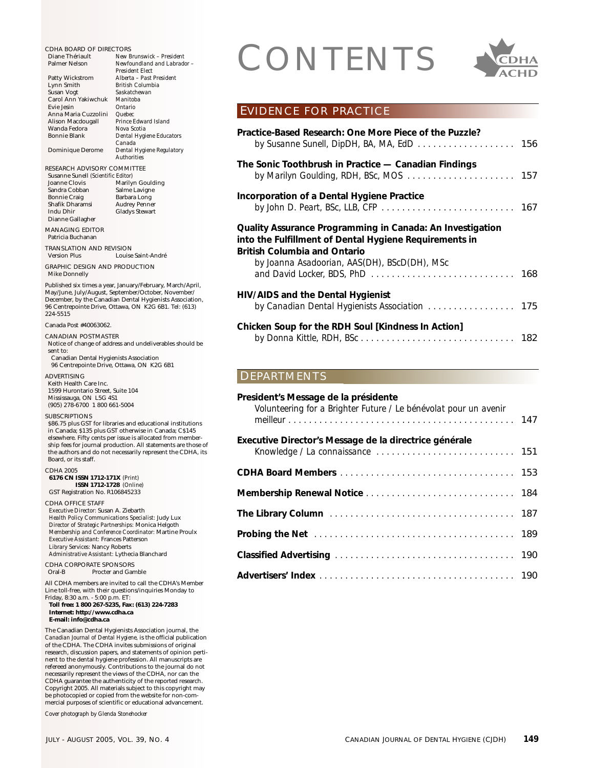Diane Thériault *New Brunswick – President* **Newfoundland and Labrador -***President Elect* Patty Wickstrom *Alberta – Past President* Lynn Smith *British Columbia* Saskatchewan<br>Manitoba Carol Ann Yakiwchuk *Manitob*<br>Fixie Jesin *Ontario* Evie Jesin *Ontario* Anna Maria Cuzzolini *Quebec* Alison Macdougall *Prince Edwa*<br>Wanda Fedora *Nova Scotia* Wanda Fedora *Nova Scotia*  $Dental$  *Hygiene Educators Canada* Dominique Derome *Dental Hygiene Regulatory Authorities* RESEARCH ADVISORY COMMITTEE Susanne Sunell *(Scientific Editor)* Joanne Clovis Marilyn Goulding<br>Sandra Cobban Salme Lavigne Sandra Cobban Salme Lavigne<br>
Bonnie Craig Barbara Long Bonnie Craig<br>Shafik Dharamsi Shafik Dharamsi Audrey Penner<br>Indu Dhir Gladys Stewart Gladys Stewart Dianne Gallagher MANAGING EDITOR Patricia Buchanan TRANSLATION AND REVISION Louise Saint-André GRAPHIC DESIGN AND PRODUCTION Mike Donnelly Published six times a year, January/February, March/April, May/June, July/August, September/October, November/ December, by the Canadian Dental Hygienists Association, 96 Centrepointe Drive, Ottawa, ON K2G 6B1. Tel: (613) 224-5515 Canada Post #40063062.

CANADIAN POSTMASTER

- Notice of change of address and undeliverables should be sent to:
- Canadian Dental Hygienists Association 96 Centrepointe Drive, Ottawa, ON K2G 6B1

**ADVERTISING** Keith Health Care Inc. 1599 Hurontario Street, Suite 104 Mississauga, ON L5G 4S1 (905) 278-6700 1 800 661-5004

**SUBSCRIPTIONS** 

\$86.75 plus GST for libraries and educational institutions in Canada; \$135 plus GST otherwise in Canada; C\$145 elsewhere. Fifty cents per issue is allocated from membership fees for journal production. All statements are those of the authors and do not necessarily represent the CDHA, its Board, or its staff.

CDHA 2005 **6176 CN ISSN 1712-171X** *(Print)* **ISSN 1712-1728** *(Online)* GST Registration No. R106845233

CDHA OFFICE STAFF *Executive Director:* Susan A. Ziebarth *Health Policy Communications Specialist:* Judy Lux *Director of Strategic Partnerships:* Monica Helgoth *Membership and Conference Coordinator:* Martine Proulx *Executive Assistant:* Frances Patterson *Library Services:* Nancy Roberts *Administrative Assistant:* Lythecia Blanchard

CDHA CORPORATE SPONSORS<br>Oral-B Procter and Gan Procter and Gamble

All CDHA members are invited to call the CDHA's Member Line toll-free, with their questions/inquiries Monday to Friday, 8:30 a.m. - 5:00 p.m. ET: **Toll free: 1 800 267-5235, Fax: (613) 224-7283**

**Internet: http://www.cdha.ca E-mail: info@cdha.ca**

The Canadian Dental Hygienists Association journal, the *Canadian Journal of Dental Hygiene,* is the official publication of the CDHA. The CDHA invites submissions of original research, discussion papers, and statements of opinion pertinent to the dental hygiene profession. All manuscripts are refereed anonymously. Contributions to the journal do not necessarily represent the views of the CDHA, nor can the CDHA guarantee the authenticity of the reported research. Copyright 2005. All materials subject to this copyright may be photocopied or copied from the website for non-commercial purposes of scientific or educational advancement.

*Cover photograph by Glenda Stonehocker*

# CDHA BOARD OF DIRECTORS<br>
Diane Thériault New Brunswick - President<br>
Palmer Nelson<br>
President Elect<br>
Party Wickstrom<br>
Alberta - Past President



### EVIDENCE FOR PRACTICE

| The Sonic Toothbrush in Practice — Canadian Findings<br>Incorporation of a Dental Hygiene Practice<br>by John D. Peart, BSc, LLB, CFP $\ldots \ldots \ldots \ldots \ldots \ldots \ldots \ldots \ldots$<br>Quality Assurance Programming in Canada: An Investigation<br>into the Fulfillment of Dental Hygiene Requirements in<br>British Columbia and Ontario<br>by Joanna Asadoorian, AAS(DH), BScD(DH), MSc<br>and David Locker, BDS, PhD $\ldots \ldots \ldots \ldots \ldots \ldots \ldots \ldots \ldots \ldots$<br>HIV/AIDS and the Dental Hygienist<br>Chicken Soup for the RDH Soul [Kindness In Action]<br>DEPARTMENTS | Practice-Based Research: One More Piece of the Puzzle?<br>by Susanne Sunell, DipDH, BA, MA, EdD $\ldots \ldots \ldots \ldots \ldots \ldots$ 156 |  |
|-------------------------------------------------------------------------------------------------------------------------------------------------------------------------------------------------------------------------------------------------------------------------------------------------------------------------------------------------------------------------------------------------------------------------------------------------------------------------------------------------------------------------------------------------------------------------------------------------------------------------------|-------------------------------------------------------------------------------------------------------------------------------------------------|--|
|                                                                                                                                                                                                                                                                                                                                                                                                                                                                                                                                                                                                                               |                                                                                                                                                 |  |
|                                                                                                                                                                                                                                                                                                                                                                                                                                                                                                                                                                                                                               |                                                                                                                                                 |  |
|                                                                                                                                                                                                                                                                                                                                                                                                                                                                                                                                                                                                                               |                                                                                                                                                 |  |
|                                                                                                                                                                                                                                                                                                                                                                                                                                                                                                                                                                                                                               |                                                                                                                                                 |  |
|                                                                                                                                                                                                                                                                                                                                                                                                                                                                                                                                                                                                                               |                                                                                                                                                 |  |
|                                                                                                                                                                                                                                                                                                                                                                                                                                                                                                                                                                                                                               |                                                                                                                                                 |  |

| President's Message de la présidente<br>Volunteering for a Brighter Future / Le bénévolat pour un avenir |  |
|----------------------------------------------------------------------------------------------------------|--|
| Executive Director's Message de la directrice générale                                                   |  |
|                                                                                                          |  |
|                                                                                                          |  |
|                                                                                                          |  |
| The Library Column (1999) 187                                                                            |  |
|                                                                                                          |  |
|                                                                                                          |  |
|                                                                                                          |  |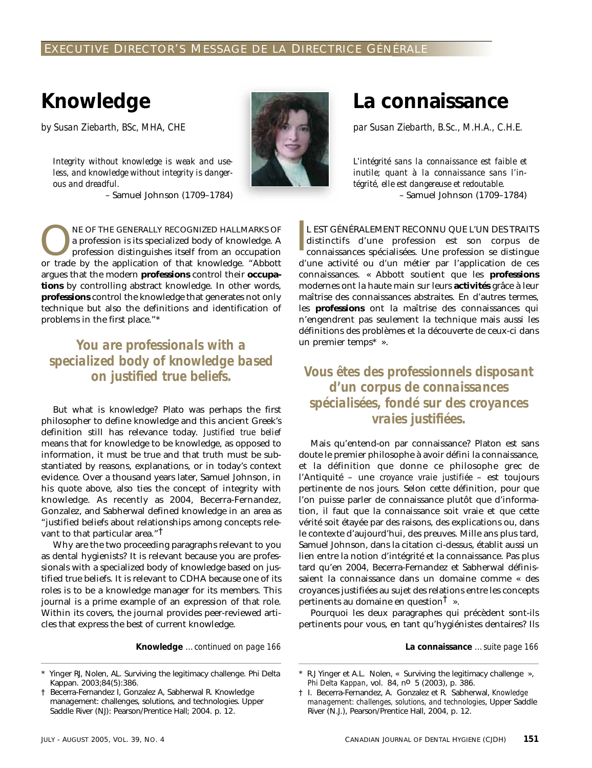## **Knowledge**

*by Susan Ziebarth, BSc, MHA, CHE*

*Integrity without knowledge is weak and useless, and knowledge without integrity is dangerous and dreadful.* – Samuel Johnson (1709–1784)



NE OF THE GENERALLY RECOGNIZED HALLMARKS OF<br>a profession is its specialized body of knowledge. A<br>profession distinguishes itself from an occupation<br>or trade by the application of that knowledge "Abbott a profession is its specialized body of knowledge. A profession distinguishes itself from an occupation or trade by the application of that knowledge. "Abbott argues that the modern **professions** control their **occupations** by controlling abstract knowledge. In other words, **professions** control the knowledge that generates not only technique but also the definitions and identification of problems in the first place."\*

## *You are professionals with a specialized body of knowledge based*

But what is knowledge? Plato was perhaps the first philosopher to define knowledge and this ancient Greek's definition still has relevance today. *Justified true belief* means that for knowledge to be knowledge, as opposed to information, it must be true and that truth must be substantiated by reasons, explanations, or in today's context evidence. Over a thousand years later, Samuel Johnson, in his quote above, also ties the concept of integrity with knowledge. As recently as 2004, Becerra-Fernandez, Gonzalez, and Sabherwal defined knowledge in an area as "justified beliefs about relationships among concepts relevant to that particular area."<sup>T</sup>

Why are the two proceeding paragraphs relevant to you as dental hygienists? It is relevant because you are professionals with a specialized body of knowledge based on justified true beliefs. It is relevant to CDHA because one of its roles is to be a knowledge manager for its members. This journal is a prime example of an expression of that role. Within its covers, the journal provides peer-reviewed articles that express the best of current knowledge.

**Knowledge** *…continued on page 166*

## **La connaissance**

*par Susan Ziebarth, B.Sc., M.H.A., C.H.E.*

*L'intégrité sans la connaissance est faible et inutile; quant à la connaissance sans l'intégrité, elle est dangereuse et redoutable.* – Samuel Johnson (1709–1784)

I L EST GÉNÉRALEMENT RECONNU QUE L'UN DES TRAITS distinctifs d'une profession est son corpus de connaissances spécialisées. Une profession se distingue d'une activité ou d'un métier par l'application de ces connaissances. « Abbott soutient que les **professions** modernes ont la haute main sur leurs **activités** grâce à leur maîtrise des connaissances abstraites. En d'autres termes, les **professions** ont la maîtrise des connaissances qui n'engendrent pas seulement la technique mais aussi les définitions des problèmes et la découverte de ceux-ci dans un premier temps\* ».

### **Vous êtes des professionnels disposant** *d'un corpus de connaissances spécialisées, fondé sur des croyances vraies justifiées.*

Mais qu'entend-on par connaissance? Platon est sans doute le premier philosophe à avoir défini la connaissance, et la définition que donne ce philosophe grec de l'Antiquité – une *croyance vraie justifiée* – est toujours pertinente de nos jours. Selon cette définition, pour que l'on puisse parler de connaissance plutôt que d'information, il faut que la connaissance soit vraie et que cette vérité soit étayée par des raisons, des explications ou, dans le contexte d'aujourd'hui, des preuves. Mille ans plus tard, Samuel Johnson, dans la citation ci-dessus, établit aussi un lien entre la notion d'intégrité et la connaissance. Pas plus tard qu'en 2004, Becerra-Fernandez et Sabherwal définissaient la connaissance dans un domaine comme « des croyances justifiées au sujet des relations entre les concepts pertinents au domaine en question<sup> $\dagger$ </sup> ».

Pourquoi les deux paragraphes qui précèdent sont-ils pertinents pour vous, en tant qu'hygiénistes dentaires? Ils

**La connaissance** *…suite page 166*

Yinger RJ, Nolen, AL. Surviving the legitimacy challenge. Phi Delta Kappan. 2003;84(5):386.

<sup>†</sup> Becerra-Fernandez I, Gonzalez A, Sabherwal R. Knowledge management: challenges, solutions, and technologies. Upper Saddle River (NJ): Pearson/Prentice Hall; 2004. p. 12.

R.J Yinger et A.L. Nolen, « Surviving the legitimacy challenge », *Phi Delta Kappan*, vol. 84, no 5 (2003), p. 386.

<sup>†</sup> I. Becerra-Fernandez, A. Gonzalez et R. Sabherwal, *Knowledge management: challenges, solutions, and technologies*, Upper Saddle River (N.J.), Pearson/Prentice Hall, 2004, p. 12.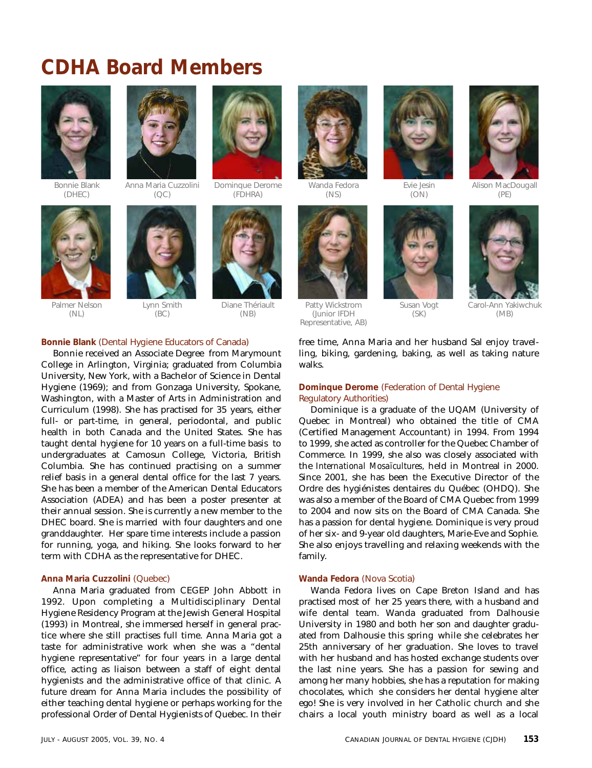## **CDHA Board Members**



Bonnie Blank (DHEC)

Palmer Nelson (NL)



Anna Maria Cuzzolini  $(OC)$ 



Lynn Smith (BC)



Dominque Derome (FDHRA)

> Diane Thériault (NB)



Wanda Fedora (NS)



Patty Wickstrom (Junior IFDH Representative, AB)



Evie Jesin  $(ON)$ 





Carol-Ann Yakiwchuk (MB)

free time, Anna Maria and her husband Sal enjoy travelling, biking, gardening, baking, as well as taking nature walks.

Susan Vogt (SK)

### **Dominque Derome** (Federation of Dental Hygiene Regulatory Authorities)

Dominique is a graduate of the UQAM (University of Quebec in Montreal) who obtained the title of CMA (Certified Management Accountant) in 1994. From 1994 to 1999, she acted as controller for the Quebec Chamber of Commerce. In 1999, she also was closely associated with the *International Mosaïcultures,* held in Montreal in 2000. Since 2001, she has been the Executive Director of the Ordre des hygiénistes dentaires du Québec (OHDQ). She was also a member of the Board of CMA Quebec from 1999 to 2004 and now sits on the Board of CMA Canada. She has a passion for dental hygiene. Dominique is very proud of her six- and 9-year old daughters, Marie-Eve and Sophie. She also enjoys travelling and relaxing weekends with the family.

### **Wanda Fedora** (Nova Scotia)

Wanda Fedora lives on Cape Breton Island and has practised most of her 25 years there, with a husband and wife dental team. Wanda graduated from Dalhousie University in 1980 and both her son and daughter graduated from Dalhousie this spring while she celebrates her 25th anniversary of her graduation. She loves to travel with her husband and has hosted exchange students over the last nine years. She has a passion for sewing and among her many hobbies, she has a reputation for making chocolates, which she considers her dental hygiene alter ego! She is very involved in her Catholic church and she chairs a local youth ministry board as well as a local

### **Bonnie Blank** (Dental Hygiene Educators of Canada)

Bonnie received an Associate Degree from Marymount College in Arlington, Virginia; graduated from Columbia University, New York, with a Bachelor of Science in Dental Hygiene (1969); and from Gonzaga University, Spokane, Washington, with a Master of Arts in Administration and Curriculum (1998). She has practised for 35 years, either full- or part-time, in general, periodontal, and public health in both Canada and the United States. She has taught dental hygiene for 10 years on a full-time basis to undergraduates at Camosun College, Victoria, British Columbia. She has continued practising on a summer relief basis in a general dental office for the last 7 years. She has been a member of the American Dental Educators Association (ADEA) and has been a poster presenter at their annual session. She is currently a new member to the DHEC board. She is married with four daughters and one granddaughter. Her spare time interests include a passion for running, yoga, and hiking. She looks forward to her term with CDHA as the representative for DHEC.

### **Anna Maria Cuzzolini** (Quebec)

Anna Maria graduated from CEGEP John Abbott in 1992. Upon completing a Multidisciplinary Dental Hygiene Residency Program at the Jewish General Hospital (1993) in Montreal, she immersed herself in general practice where she still practises full time. Anna Maria got a taste for administrative work when she was a "dental hygiene representative" for four years in a large dental office, acting as liaison between a staff of eight dental hygienists and the administrative office of that clinic. A future dream for Anna Maria includes the possibility of either teaching dental hygiene or perhaps working for the professional Order of Dental Hygienists of Quebec. In their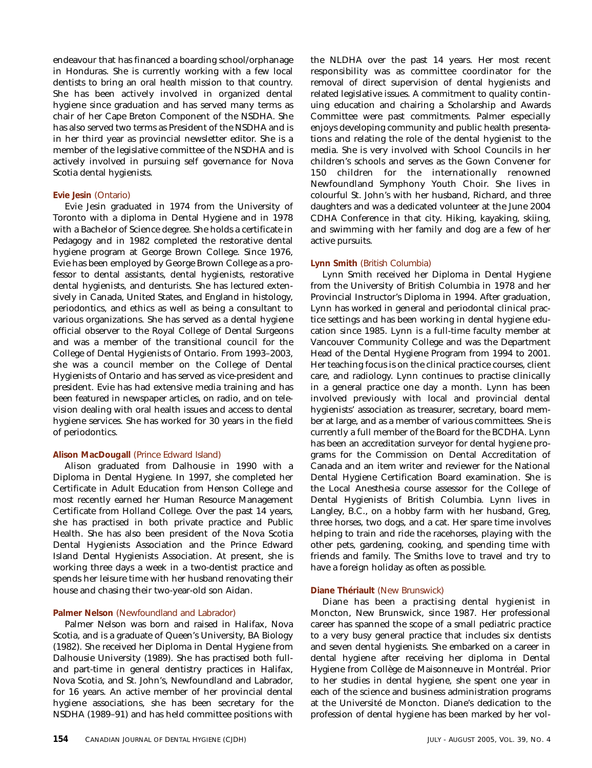endeavour that has financed a boarding school/orphanage in Honduras. She is currently working with a few local dentists to bring an oral health mission to that country. She has been actively involved in organized dental hygiene since graduation and has served many terms as chair of her Cape Breton Component of the NSDHA. She has also served two terms as President of the NSDHA and is in her third year as provincial newsletter editor. She is a member of the legislative committee of the NSDHA and is actively involved in pursuing self governance for Nova Scotia dental hygienists.

### **Evie Jesin** (Ontario)

Evie Jesin graduated in 1974 from the University of Toronto with a diploma in Dental Hygiene and in 1978 with a Bachelor of Science degree. She holds a certificate in Pedagogy and in 1982 completed the restorative dental hygiene program at George Brown College. Since 1976, Evie has been employed by George Brown College as a professor to dental assistants, dental hygienists, restorative dental hygienists, and denturists. She has lectured extensively in Canada, United States, and England in histology, periodontics, and ethics as well as being a consultant to various organizations. She has served as a dental hygiene official observer to the Royal College of Dental Surgeons and was a member of the transitional council for the College of Dental Hygienists of Ontario. From 1993–2003, she was a council member on the College of Dental Hygienists of Ontario and has served as vice-president and president. Evie has had extensive media training and has been featured in newspaper articles, on radio, and on television dealing with oral health issues and access to dental hygiene services. She has worked for 30 years in the field of periodontics.

### **Alison MacDougall** (Prince Edward Island)

Alison graduated from Dalhousie in 1990 with a Diploma in Dental Hygiene. In 1997, she completed her Certificate in Adult Education from Henson College and most recently earned her Human Resource Management Certificate from Holland College. Over the past 14 years, she has practised in both private practice and Public Health. She has also been president of the Nova Scotia Dental Hygienists Association and the Prince Edward Island Dental Hygienists Association. At present, she is working three days a week in a two-dentist practice and spends her leisure time with her husband renovating their house and chasing their two-year-old son Aidan.

### **Palmer Nelson** (Newfoundland and Labrador)

Palmer Nelson was born and raised in Halifax, Nova Scotia, and is a graduate of Queen's University, BA Biology (1982). She received her Diploma in Dental Hygiene from Dalhousie University (1989). She has practised both fulland part-time in general dentistry practices in Halifax, Nova Scotia, and St. John's, Newfoundland and Labrador, for 16 years. An active member of her provincial dental hygiene associations, she has been secretary for the NSDHA (1989–91) and has held committee positions with the NLDHA over the past 14 years. Her most recent responsibility was as committee coordinator for the removal of direct supervision of dental hygienists and related legislative issues. A commitment to quality continuing education and chairing a Scholarship and Awards Committee were past commitments. Palmer especially enjoys developing community and public health presentations and relating the role of the dental hygienist to the media. She is very involved with School Councils in her children's schools and serves as the Gown Convener for 150 children for the internationally renowned Newfoundland Symphony Youth Choir. She lives in colourful St. John's with her husband, Richard, and three daughters and was a dedicated volunteer at the June 2004 CDHA Conference in that city. Hiking, kayaking, skiing, and swimming with her family and dog are a few of her active pursuits.

### **Lynn Smith** (British Columbia)

Lynn Smith received her Diploma in Dental Hygiene from the University of British Columbia in 1978 and her Provincial Instructor's Diploma in 1994. After graduation, Lynn has worked in general and periodontal clinical practice settings and has been working in dental hygiene education since 1985. Lynn is a full-time faculty member at Vancouver Community College and was the Department Head of the Dental Hygiene Program from 1994 to 2001. Her teaching focus is on the clinical practice courses, client care, and radiology. Lynn continues to practise clinically in a general practice one day a month. Lynn has been involved previously with local and provincial dental hygienists' association as treasurer, secretary, board member at large, and as a member of various committees. She is currently a full member of the Board for the BCDHA. Lynn has been an accreditation surveyor for dental hygiene programs for the Commission on Dental Accreditation of Canada and an item writer and reviewer for the National Dental Hygiene Certification Board examination. She is the Local Anesthesia course assessor for the College of Dental Hygienists of British Columbia. Lynn lives in Langley, B.C., on a hobby farm with her husband, Greg, three horses, two dogs, and a cat. Her spare time involves helping to train and ride the racehorses, playing with the other pets, gardening, cooking, and spending time with friends and family. The Smiths love to travel and try to have a foreign holiday as often as possible.

### **Diane Thériault** (New Brunswick)

Diane has been a practising dental hygienist in Moncton, New Brunswick, since 1987. Her professional career has spanned the scope of a small pediatric practice to a very busy general practice that includes six dentists and seven dental hygienists. She embarked on a career in dental hygiene after receiving her diploma in Dental Hygiene from Collège de Maisonneuve in Montréal. Prior to her studies in dental hygiene, she spent one year in each of the science and business administration programs at the Université de Moncton. Diane's dedication to the profession of dental hygiene has been marked by her vol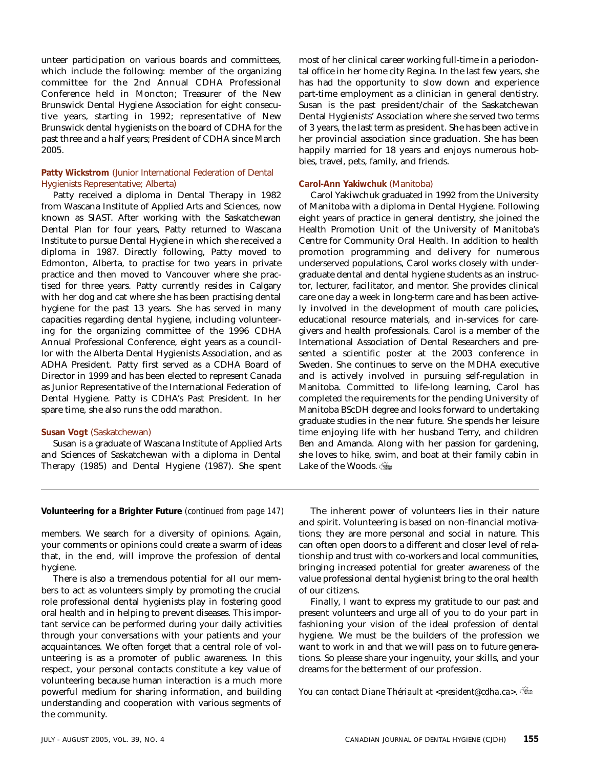unteer participation on various boards and committees, which include the following: member of the organizing committee for the 2nd Annual CDHA Professional Conference held in Moncton; Treasurer of the New Brunswick Dental Hygiene Association for eight consecutive years, starting in 1992; representative of New Brunswick dental hygienists on the board of CDHA for the past three and a half years; President of CDHA since March 2005.

### **Patty Wickstrom** (Junior International Federation of Dental Hygienists Representative; Alberta)

Patty received a diploma in Dental Therapy in 1982 from Wascana Institute of Applied Arts and Sciences, now known as SIAST. After working with the Saskatchewan Dental Plan for four years, Patty returned to Wascana Institute to pursue Dental Hygiene in which she received a diploma in 1987. Directly following, Patty moved to Edmonton, Alberta, to practise for two years in private practice and then moved to Vancouver where she practised for three years. Patty currently resides in Calgary with her dog and cat where she has been practising dental hygiene for the past 13 years. She has served in many capacities regarding dental hygiene, including volunteering for the organizing committee of the 1996 CDHA Annual Professional Conference, eight years as a councillor with the Alberta Dental Hygienists Association, and as ADHA President. Patty first served as a CDHA Board of Director in 1999 and has been elected to represent Canada as Junior Representative of the International Federation of Dental Hygiene. Patty is CDHA's Past President. In her spare time, she also runs the odd marathon.

### **Susan Vogt** (Saskatchewan)

Susan is a graduate of Wascana Institute of Applied Arts and Sciences of Saskatchewan with a diploma in Dental Therapy (1985) and Dental Hygiene (1987). She spent most of her clinical career working full-time in a periodontal office in her home city Regina. In the last few years, she has had the opportunity to slow down and experience part-time employment as a clinician in general dentistry. Susan is the past president/chair of the Saskatchewan Dental Hygienists' Association where she served two terms of 3 years, the last term as president. She has been active in her provincial association since graduation. She has been happily married for 18 years and enjoys numerous hobbies, travel, pets, family, and friends.

### **Carol-Ann Yakiwchuk** (Manitoba)

Carol Yakiwchuk graduated in 1992 from the University of Manitoba with a diploma in Dental Hygiene. Following eight years of practice in general dentistry, she joined the Health Promotion Unit of the University of Manitoba's Centre for Community Oral Health. In addition to health promotion programming and delivery for numerous underserved populations, Carol works closely with undergraduate dental and dental hygiene students as an instructor, lecturer, facilitator, and mentor. She provides clinical care one day a week in long-term care and has been actively involved in the development of mouth care policies, educational resource materials, and in-services for caregivers and health professionals. Carol is a member of the International Association of Dental Researchers and presented a scientific poster at the 2003 conference in Sweden. She continues to serve on the MDHA executive and is actively involved in pursuing self-regulation in Manitoba. Committed to life-long learning, Carol has completed the requirements for the pending University of Manitoba BScDH degree and looks forward to undertaking graduate studies in the near future. She spends her leisure time enjoying life with her husband Terry, and children Ben and Amanda. Along with her passion for gardening, she loves to hike, swim, and boat at their family cabin in Lake of the Woods.

#### **Volunteering for a Brighter Future** *(continued from page 147)* The inherent power of volunteers lies in their nature

members. We search for a diversity of opinions. Again, your comments or opinions could create a swarm of ideas that, in the end, will improve the profession of dental hygiene.

There is also a tremendous potential for all our members to act as volunteers simply by promoting the crucial role professional dental hygienists play in fostering good oral health and in helping to prevent diseases. This important service can be performed during your daily activities through your conversations with your patients and your acquaintances. We often forget that a central role of volunteering is as a promoter of public awareness. In this respect, your personal contacts constitute a key value of volunteering because human interaction is a much more powerful medium for sharing information, and building understanding and cooperation with various segments of the community.

and spirit. Volunteering is based on non-financial motivations; they are more personal and social in nature. This can often open doors to a different and closer level of relationship and trust with co-workers and local communities, bringing increased potential for greater awareness of the value professional dental hygienist bring to the oral health of our citizens.

Finally, I want to express my gratitude to our past and present volunteers and urge all of you to do your part in fashioning your vision of the ideal profession of dental hygiene. We must be the builders of the profession we want to work in and that we will pass on to future generations. So please share your ingenuity, your skills, and your dreams for the betterment of our profession.

*You can contact Diane Thériault at <president@cdha.ca>.*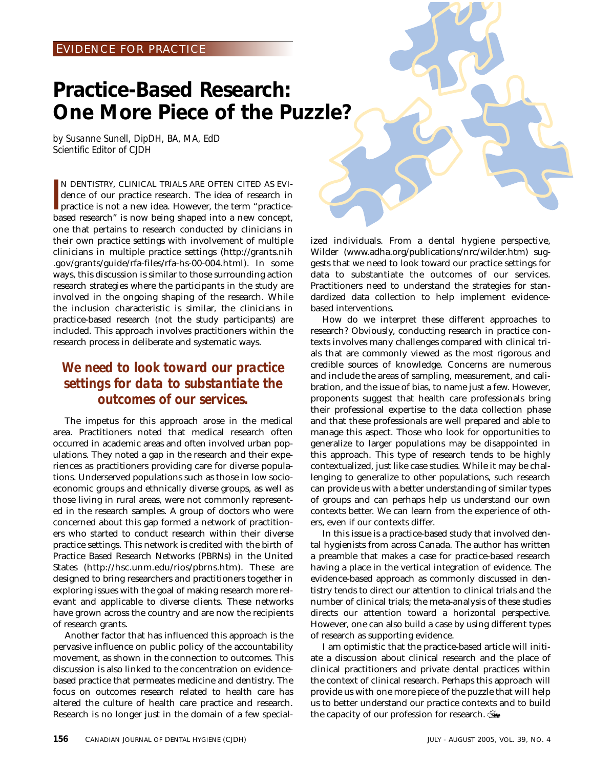### EVIDENCE FOR PRACTICE

## **Practice-Based Research: One More Piece of the Puzzle?**

*by Susanne Sunell, DipDH, BA, MA, EdD Scientific Editor of CJDH*

 $\frac{1}{2}$ N DENTISTRY, CLINICAL TRIALS ARE OFTEN CITED AS EVIdence of our practice research. The idea of research in practice is not a new idea. However, the term "practicebased research" is now being shaped into a new concept, one that pertains to research conducted by clinicians in their own practice settings with involvement of multiple clinicians in multiple practice settings (http://grants.nih .gov/grants/guide/rfa-files/rfa-hs-00-004.html). In some ways, this discussion is similar to those surrounding action research strategies where the participants in the study are involved in the ongoing shaping of the research. While the inclusion characteristic is similar, the clinicians in practice-based research (not the study participants) are included. This approach involves practitioners within the research process in deliberate and systematic ways.

### *We need to look toward our practice settings for data to substantiate the outcomes of our services.*

The impetus for this approach arose in the medical area. Practitioners noted that medical research often occurred in academic areas and often involved urban populations. They noted a gap in the research and their experiences as practitioners providing care for diverse populations. Underserved populations such as those in low socioeconomic groups and ethnically diverse groups, as well as those living in rural areas, were not commonly represented in the research samples. A group of doctors who were concerned about this gap formed a network of practitioners who started to conduct research within their diverse practice settings. This network is credited with the birth of Practice Based Research Networks (PBRNs) in the United States (http://hsc.unm.edu/rios/pbrns.htm). These are designed to bring researchers and practitioners together in exploring issues with the goal of making research more relevant and applicable to diverse clients. These networks have grown across the country and are now the recipients of research grants.

Another factor that has influenced this approach is the pervasive influence on public policy of the accountability movement, as shown in the connection to outcomes. This discussion is also linked to the concentration on evidencebased practice that permeates medicine and dentistry. The focus on outcomes research related to health care has altered the culture of health care practice and research. Research is no longer just in the domain of a few specialized individuals. From a dental hygiene perspective, Wilder (www.adha.org/publications/nrc/wilder.htm) suggests that we need to look toward our practice settings for data to substantiate the outcomes of our services. Practitioners need to understand the strategies for standardized data collection to help implement evidencebased interventions.

How do we interpret these different approaches to research? Obviously, conducting research in practice contexts involves many challenges compared with clinical trials that are commonly viewed as the most rigorous and credible sources of knowledge. Concerns are numerous and include the areas of sampling, measurement, and calibration, and the issue of bias, to name just a few. However, proponents suggest that health care professionals bring their professional expertise to the data collection phase and that these professionals are well prepared and able to manage this aspect. Those who look for opportunities to generalize to larger populations may be disappointed in this approach. This type of research tends to be highly contextualized, just like case studies. While it may be challenging to generalize to other populations, such research can provide us with a better understanding of similar types of groups and can perhaps help us understand our own contexts better. We can learn from the experience of others, even if our contexts differ.

In this issue is a practice-based study that involved dental hygienists from across Canada. The author has written a preamble that makes a case for practice-based research having a place in the vertical integration of evidence. The evidence-based approach as commonly discussed in dentistry tends to direct our attention to clinical trials and the number of clinical trials; the meta-analysis of these studies directs our attention toward a horizontal perspective. However, one can also build a case by using different types of research as supporting evidence.

I am optimistic that the practice-based article will initiate a discussion about clinical research and the place of clinical practitioners and private dental practices within the context of clinical research. Perhaps this approach will provide us with one more piece of the puzzle that will help us to better understand our practice contexts and to build the capacity of our profession for research.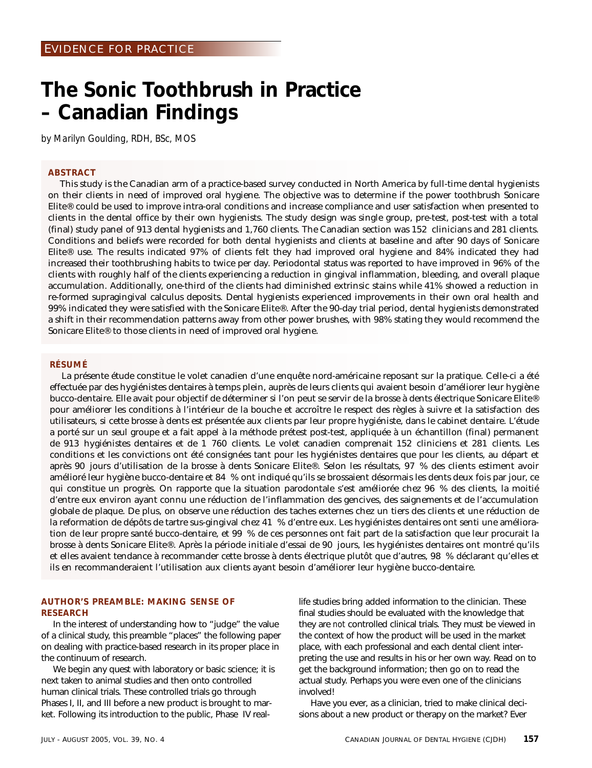## **The Sonic Toothbrush in Practice – Canadian Findings**

*by Marilyn Goulding, RDH, BSc, MOS*

### **ABSTRACT**

This study is the Canadian arm of a practice-based survey conducted in North America by full-time dental hygienists on their clients in need of improved oral hygiene. The objective was to determine if the power toothbrush Sonicare Elite® could be used to improve intra-oral conditions and increase compliance and user satisfaction when presented to clients in the dental office by their own hygienists. The study design was single group, pre-test, post-test with a total (final) study panel of 913 dental hygienists and 1,760 clients. The Canadian section was 152 clinicians and 281 clients. Conditions and beliefs were recorded for both dental hygienists and clients at baseline and after 90 days of Sonicare Elite® use. The results indicated 97% of clients felt they had improved oral hygiene and 84% indicated they had increased their toothbrushing habits to twice per day. Periodontal status was reported to have improved in 96% of the clients with roughly half of the clients experiencing a reduction in gingival inflammation, bleeding, and overall plaque accumulation. Additionally, one-third of the clients had diminished extrinsic stains while 41% showed a reduction in re-formed supragingival calculus deposits. Dental hygienists experienced improvements in their own oral health and 99% indicated they were satisfied with the Sonicare Elite®. After the 90-day trial period, dental hygienists demonstrated a shift in their recommendation patterns away from other power brushes, with 98% stating they would recommend the Sonicare Elite® to those clients in need of improved oral hygiene.

### **RÉSUMÉ**

La présente étude constitue le volet canadien d'une enquête nord-américaine reposant sur la pratique. Celle-ci a été effectuée par des hygiénistes dentaires à temps plein, auprès de leurs clients qui avaient besoin d'améliorer leur hygiène bucco-dentaire. Elle avait pour objectif de déterminer si l'on peut se servir de la brosse à dents électrique Sonicare Elite® pour améliorer les conditions à l'intérieur de la bouche et accroître le respect des règles à suivre et la satisfaction des utilisateurs, si cette brosse à dents est présentée aux clients par leur propre hygiéniste, dans le cabinet dentaire. L'étude a porté sur un seul groupe et a fait appel à la méthode prétest post-test, appliquée à un échantillon (final) permanent de 913 hygiénistes dentaires et de 1 760 clients. Le volet canadien comprenait 152 cliniciens et 281 clients. Les conditions et les convictions ont été consignées tant pour les hygiénistes dentaires que pour les clients, au départ et après 90 jours d'utilisation de la brosse à dents Sonicare Elite®. Selon les résultats, 97 % des clients estiment avoir amélioré leur hygiène bucco-dentaire et 84 % ont indiqué qu'ils se brossaient désormais les dents deux fois par jour, ce qui constitue un progrès. On rapporte que la situation parodontale s'est améliorée chez 96 % des clients, la moitié d'entre eux environ ayant connu une réduction de l'inflammation des gencives, des saignements et de l'accumulation globale de plaque. De plus, on observe une réduction des taches externes chez un tiers des clients et une réduction de la reformation de dépôts de tartre sus-gingival chez 41 % d'entre eux. Les hygiénistes dentaires ont senti une amélioration de leur propre santé bucco-dentaire, et 99 % de ces personnes ont fait part de la satisfaction que leur procurait la brosse à dents Sonicare Elite®. Après la période initiale d'essai de 90 jours, les hygiénistes dentaires ont montré qu'ils et elles avaient tendance à recommander cette brosse à dents électrique plutôt que d'autres, 98 % déclarant qu'elles et ils en recommanderaient l'utilisation aux clients ayant besoin d'améliorer leur hygiène bucco-dentaire.

### **AUTHOR'S PREAMBLE: MAKING SENSE OF RESEARCH**

In the interest of understanding how to "judge" the value of a clinical study, this preamble "places" the following paper on dealing with practice-based research in its proper place in the continuum of research.

We begin any quest with laboratory or basic science; it is next taken to animal studies and then onto controlled human clinical trials. These controlled trials go through Phases I, II, and III before a new product is brought to market. Following its introduction to the public, Phase IV reallife studies bring added information to the clinician. These final studies should be evaluated with the knowledge that they are *not* controlled clinical trials. They must be viewed in the context of how the product will be used in the market place, with each professional and each dental client interpreting the use and results in his or her own way. Read on to get the background information; then go on to read the actual study. Perhaps you were even one of the clinicians involved!

Have you ever, as a clinician, tried to make clinical decisions about a new product or therapy on the market? Ever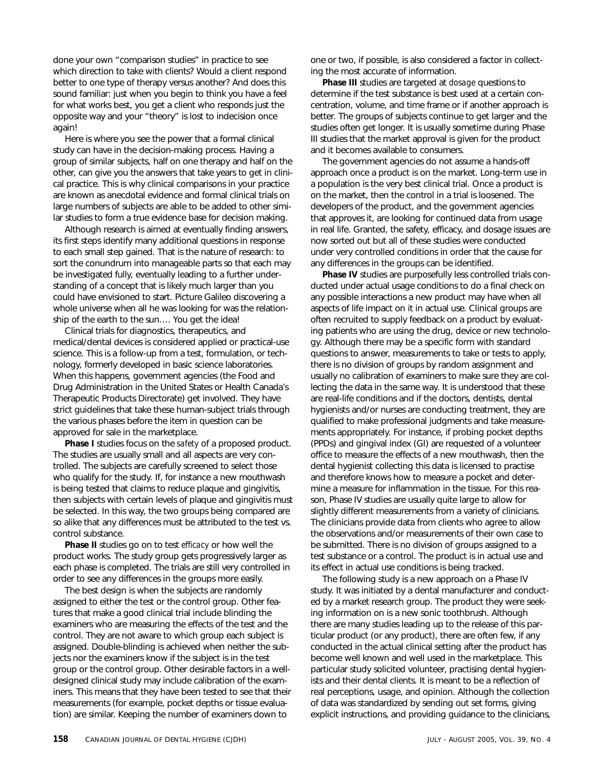done your own "comparison studies" in practice to see which direction to take with clients? Would a client respond better to one type of therapy versus another? And does this sound familiar: just when you begin to think you have a feel for what works best, you get a client who responds just the opposite way and your "theory" is lost to indecision once again!

Here is where you see the power that a formal clinical study can have in the decision-making process. Having a group of similar subjects, half on one therapy and half on the other, can give you the answers that take years to get in clinical practice. This is why clinical comparisons in your practice are known as anecdotal evidence and formal clinical trials on large numbers of subjects are able to be added to other similar studies to form a true evidence base for decision making.

Although research is aimed at eventually finding answers, its first steps identify many additional questions in response to each small step gained. That is the nature of research: to sort the conundrum into manageable parts so that each may be investigated fully, eventually leading to a further understanding of a concept that is likely much larger than you could have envisioned to start. Picture Galileo discovering a whole universe when all he was looking for was the relationship of the earth to the sun…. You get the idea!

Clinical trials for diagnostics, therapeutics, and medical/dental devices is considered applied or practical-use science. This is a follow-up from a test, formulation, or technology, formerly developed in basic science laboratories. When this happens, government agencies (the Food and Drug Administration in the United States or Health Canada's Therapeutic Products Directorate) get involved. They have strict guidelines that take these human-subject trials through the various phases before the item in question can be approved for sale in the marketplace.

**Phase I** studies focus on the *safety* of a proposed product. The studies are usually small and all aspects are very controlled. The subjects are carefully screened to select those who qualify for the study. If, for instance a new mouthwash is being tested that claims to reduce plaque and gingivitis, then subjects with certain levels of plaque and gingivitis must be selected. In this way, the two groups being compared are so alike that any differences must be attributed to the test vs. control substance.

**Phase II** studies go on to test *efficacy* or how well the product works. The study group gets progressively larger as each phase is completed. The trials are still very controlled in order to see any differences in the groups more easily.

The best design is when the subjects are randomly assigned to either the test or the control group. Other features that make a good clinical trial include blinding the examiners who are measuring the effects of the test and the control. They are not aware to which group each subject is assigned. Double-blinding is achieved when neither the subjects nor the examiners know if the subject is in the test group or the control group. Other desirable factors in a welldesigned clinical study may include calibration of the examiners. This means that they have been tested to see that their measurements (for example, pocket depths or tissue evaluation) are similar. Keeping the number of examiners down to

one or two, if possible, is also considered a factor in collecting the most accurate of information.

**Phase III** studies are targeted at *dosage* questions to determine if the test substance is best used at a certain concentration, volume, and time frame or if another approach is better. The groups of subjects continue to get larger and the studies often get longer. It is usually sometime during Phase III studies that the market approval is given for the product and it becomes available to consumers.

The government agencies do not assume a hands-off approach once a product is on the market. Long-term use in a population is the very best clinical trial. Once a product is on the market, then the control in a trial is loosened. The developers of the product, and the government agencies that approves it, are looking for continued data from usage in real life. Granted, the safety, efficacy, and dosage issues are now sorted out but all of these studies were conducted under very controlled conditions in order that the cause for any differences in the groups can be identified.

**Phase IV** studies are purposefully less controlled trials conducted under actual usage conditions to do a final check on any possible interactions a new product may have when all aspects of life impact on it in actual use. Clinical groups are often recruited to supply feedback on a product by evaluating patients who are using the drug, device or new technology. Although there may be a specific form with standard questions to answer, measurements to take or tests to apply, there is no division of groups by random assignment and usually no calibration of examiners to make sure they are collecting the data in the same way. It is understood that these are real-life conditions and if the doctors, dentists, dental hygienists and/or nurses are conducting treatment, they are qualified to make professional judgments and take measurements appropriately. For instance, if probing pocket depths (PPDs) and gingival index (GI) are requested of a volunteer office to measure the effects of a new mouthwash, then the dental hygienist collecting this data is licensed to practise and therefore knows how to measure a pocket and determine a measure for inflammation in the tissue. For this reason, Phase IV studies are usually quite large to allow for slightly different measurements from a variety of clinicians. The clinicians provide data from clients who agree to allow the observations and/or measurements of their own case to be submitted. There is no division of groups assigned to a test substance or a control. The product is in actual use and its effect in actual use conditions is being tracked.

The following study is a new approach on a Phase IV study. It was initiated by a dental manufacturer and conducted by a market research group. The product they were seeking information on is a new sonic toothbrush. Although there are many studies leading up to the release of this particular product (or any product), there are often few, if any conducted in the actual clinical setting after the product has become well known and well used in the marketplace. This particular study solicited volunteer, practising dental hygienists and their dental clients. It is meant to be a reflection of real perceptions, usage, and opinion. Although the collection of data was standardized by sending out set forms, giving explicit instructions, and providing guidance to the clinicians,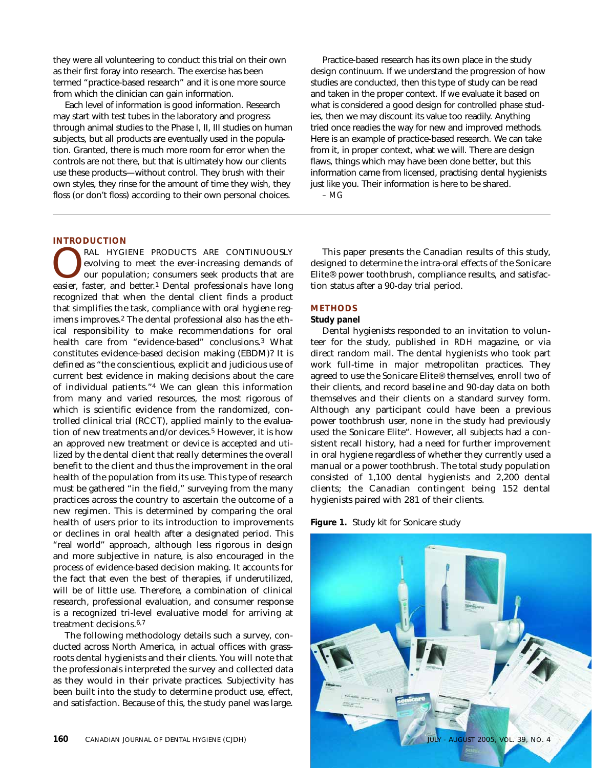they were all volunteering to conduct this trial on their own as their first foray into research. The exercise has been termed "practice-based research" and it is one more source from which the clinician can gain information.

Each level of information is good information. Research may start with test tubes in the laboratory and progress through animal studies to the Phase I, II, III studies on human subjects, but all products are eventually used in the population. Granted, there is much more room for error when the controls are not there, but that is ultimately how our clients use these products—without control. They brush with their own styles, they rinse for the amount of time they wish, they floss (or don't floss) according to their own personal choices.

Practice-based research has its own place in the study design continuum. If we understand the progression of how studies are conducted, then this type of study can be read and taken in the proper context. If we evaluate it based on what is considered a good design for controlled phase studies, then we may discount its value too readily. Anything tried once readies the way for new and improved methods. Here is an example of practice-based research. We can take from it, in proper context, what we will. There are design flaws, things which may have been done better, but this information came from licensed, practising dental hygienists just like you. Their information is here to be shared.

*– MG*

### **INTRODUCTION**

**CONTINUOUSLY**<br> **CONTINUOUSLY**<br> **CONTINUOUSLY**<br> **CONTINUOUSLY**<br> **CONTINUOUSLY**<br> **CONTINUOUSLY**<br> **CONTINUOUSLY**<br> **CONTINUOUSLY**<br> **CONTINUOUSLY**<br> **CONTINUOUSLY**<br> **CONTINUOUSLY**<br> **CONTINUOUSLY**<br> **CONTINUOUSLY**<br> **CONTINUOUSLY** evolving to meet the ever-increasing demands of our population; consumers seek products that are easier, faster, and better.1 Dental professionals have long recognized that when the dental client finds a product that simplifies the task, compliance with oral hygiene regimens improves.2 The dental professional also has the ethical responsibility to make recommendations for oral health care from "evidence-based" conclusions.3 What constitutes evidence-based decision making (EBDM)? It is defined as "the conscientious, explicit and judicious use of current best evidence in making decisions about the care of individual patients."4 We can glean this information from many and varied resources, the most rigorous of which is scientific evidence from the randomized, controlled clinical trial (RCCT), applied mainly to the evaluation of new treatments and/or devices.<sup>5</sup> However, it is how an approved new treatment or device is accepted and utilized by the dental client that really determines the overall benefit to the client and thus the improvement in the oral health of the population from its use. This type of research must be gathered "in the field," surveying from the many practices across the country to ascertain the outcome of a new regimen. This is determined by comparing the oral health of users prior to its introduction to improvements or declines in oral health after a designated period. This "real world" approach, although less rigorous in design and more subjective in nature, is also encouraged in the process of evidence-based decision making. It accounts for the fact that even the best of therapies, if underutilized, will be of little use. Therefore, a combination of clinical research, professional evaluation, and consumer response is a recognized tri-level evaluative model for arriving at treatment decisions.6,7

The following methodology details such a survey, conducted across North America, in actual offices with grassroots dental hygienists and their clients. You will note that the professionals interpreted the survey and collected data as they would in their private practices. Subjectivity has been built into the study to determine product use, effect, and satisfaction. Because of this, the study panel was large.

This paper presents the Canadian results of this study, designed to determine the intra-oral effects of the Sonicare Elite® power toothbrush, compliance results, and satisfaction status after a 90-day trial period.

### **METHODS**

### **Study panel**

Dental hygienists responded to an invitation to volunteer for the study, published in *RDH* magazine, or via direct random mail. The dental hygienists who took part work full-time in major metropolitan practices. They agreed to use the Sonicare Elite® themselves, enroll two of their clients, and record baseline and 90-day data on both themselves and their clients on a standard survey form. Although any participant could have been a previous power toothbrush user, none in the study had previously used the Sonicare Elite". However, all subjects had a consistent recall history, had a need for further improvement in oral hygiene regardless of whether they currently used a manual or a power toothbrush. The total study population consisted of 1,100 dental hygienists and 2,200 dental clients; the Canadian contingent being 152 dental hygienists paired with 281 of their clients.

**Figure 1.** Study kit for Sonicare study

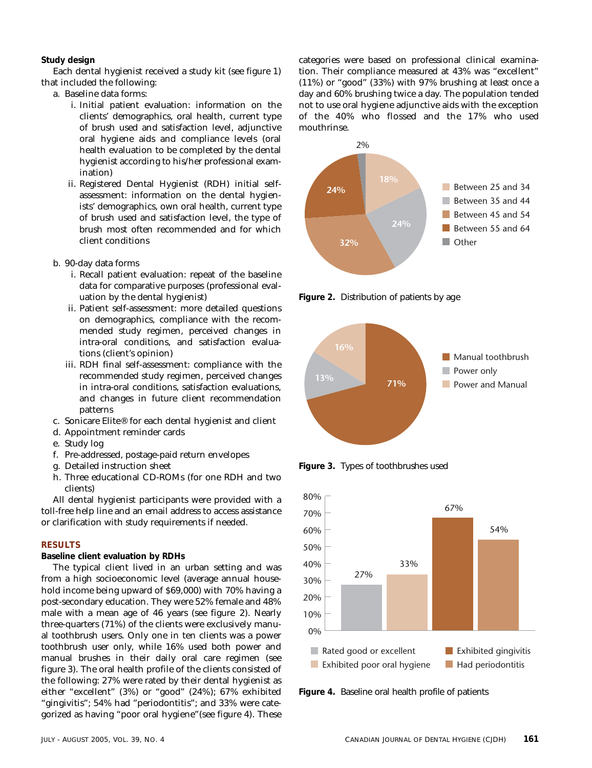### **Study design**

Each dental hygienist received a study kit (see figure 1) that included the following:

- a. Baseline data forms:
	- i. Initial patient evaluation: information on the clients' demographics, oral health, current type of brush used and satisfaction level, adjunctive oral hygiene aids and compliance levels (oral health evaluation to be completed by the dental hygienist according to his/her professional examination)
	- ii. Registered Dental Hygienist (RDH) initial selfassessment: information on the dental hygienists' demographics, own oral health, current type of brush used and satisfaction level, the type of brush most often recommended and for which client conditions
- b. 90-day data forms
	- i. Recall patient evaluation: repeat of the baseline data for comparative purposes (professional evaluation by the dental hygienist)
	- ii. Patient self-assessment: more detailed questions on demographics, compliance with the recommended study regimen, perceived changes in intra-oral conditions, and satisfaction evaluations (client's opinion)
	- iii. RDH final self-assessment: compliance with the recommended study regimen, perceived changes in intra-oral conditions, satisfaction evaluations, and changes in future client recommendation patterns
- c. Sonicare Elite® for each dental hygienist and client
- d. Appointment reminder cards
- e. Study log
- f. Pre-addressed, postage-paid return envelopes
- g. Detailed instruction sheet
- h. Three educational CD-ROMs (for one RDH and two clients)

All dental hygienist participants were provided with a toll-free help line and an email address to access assistance or clarification with study requirements if needed.

### **RESULTS**

**Baseline client evaluation by RDHs**

The typical client lived in an urban setting and was from a high socioeconomic level (average annual household income being upward of \$69,000) with 70% having a post-secondary education. They were 52% female and 48% male with a mean age of 46 years (see figure 2). Nearly three-quarters (71%) of the clients were exclusively manual toothbrush users. Only one in ten clients was a power toothbrush user only, while 16% used both power and manual brushes in their daily oral care regimen (see figure 3). The oral health profile of the clients consisted of the following: 27% were rated by their dental hygienist as either "excellent" (3%) or "good" (24%); 67% exhibited "gingivitis"; 54% had "periodontitis"; and 33% were categorized as having "poor oral hygiene"(see figure 4). These

categories were based on professional clinical examination. Their compliance measured at 43% was "excellent" (11%) or "good" (33%) with 97% brushing at least once a day and 60% brushing twice a day. The population tended not to use oral hygiene adjunctive aids with the exception of the 40% who flossed and the 17% who used mouthrinse.



**Figure 2.** Distribution of patients by age



**Figure 3.** Types of toothbrushes used



**Figure 4.** Baseline oral health profile of patients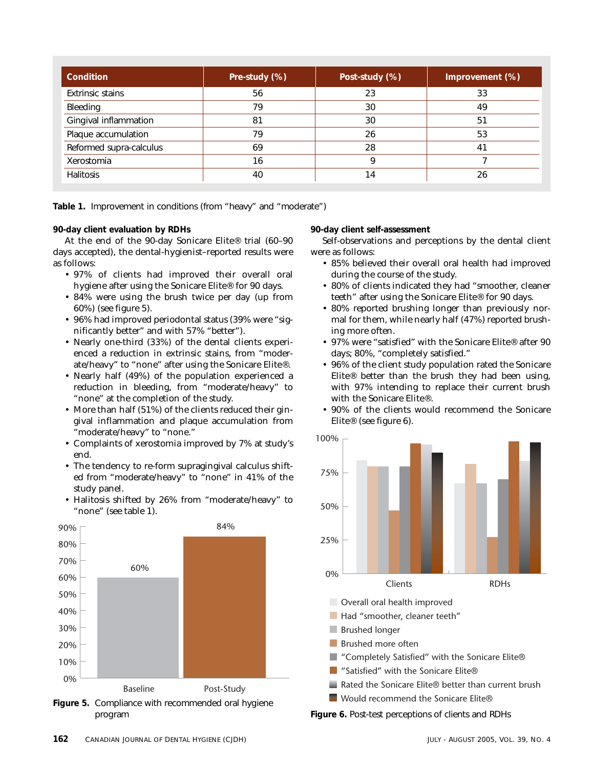| Condition               | Pre-study (%) | Post-study (%) | Improvement (%) |  |
|-------------------------|---------------|----------------|-----------------|--|
| <b>Extrinsic stains</b> | 56            | 23             | 33              |  |
| Bleeding                | 79            | 30             | 49              |  |
| Gingival inflammation   | 81            | 30             | 51              |  |
| Plaque accumulation     | 79            | 26             | 53              |  |
| Reformed supra-calculus | 69            | 28             | 4 <sup>1</sup>  |  |
| Xerostomia              | 16            | q              |                 |  |
| <b>Halitosis</b>        | 40            | $\overline{4}$ | 26              |  |

**Table 1.** Improvement in conditions (from "heavy" and "moderate")

### **90-day client evaluation by RDHs**

At the end of the 90-day Sonicare Elite® trial (60–90 days accepted), the dental-hygienist–reported results were as follows:

- 97% of clients had improved their overall oral hygiene after using the Sonicare Elite® for 90 days.
- 84% were using the brush twice per day (up from 60%) (see figure 5).
- 96% had improved periodontal status (39% were "significantly better" and with 57% "better").
- Nearly one-third (33%) of the dental clients experienced a reduction in extrinsic stains, from "moderate/heavy" to "none" after using the Sonicare Elite®.
- Nearly half (49%) of the population experienced a reduction in bleeding, from "moderate/heavy" to "none" at the completion of the study.
- More than half (51%) of the clients reduced their gingival inflammation and plaque accumulation from "moderate/heavy" to "none."
- Complaints of xerostomia improved by 7% at study's end.
- The tendency to re-form supragingival calculus shifted from "moderate/heavy" to "none" in 41% of the study panel.
- Halitosis shifted by 26% from "moderate/heavy" to "none" (see table 1).



**Figure 5.** Compliance with recommended oral hygiene program

**90-day client self-assessment**

Self-observations and perceptions by the dental client were as follows:

- 85% believed their overall oral health had improved during the course of the study.
- 80% of clients indicated they had "smoother, cleaner teeth" after using the Sonicare Elite® for 90 days.
- 80% reported brushing longer than previously normal for them, while nearly half (47%) reported brushing more often.
- 97% were "satisfied" with the Sonicare Elite® after 90 days; 80%, "completely satisfied."
- 96% of the client study population rated the Sonicare Elite® better than the brush they had been using, with 97% intending to replace their current brush with the Sonicare Elite®.
- 90% of the clients would recommend the Sonicare Elite® (see figure 6).



**Figure 6.** Post-test perceptions of clients and RDHs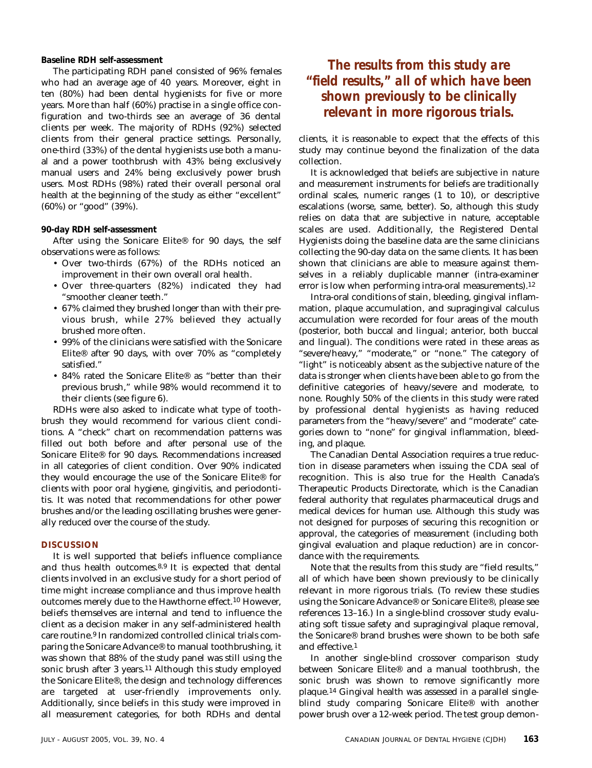**Baseline RDH self-assessment**

The participating RDH panel consisted of 96% females who had an average age of 40 years. Moreover, eight in ten (80%) had been dental hygienists for five or more years. More than half (60%) practise in a single office configuration and two-thirds see an average of 36 dental clients per week. The majority of RDHs (92%) selected clients from their general practice settings. Personally, one-third (33%) of the dental hygienists use both a manual and a power toothbrush with 43% being exclusively manual users and 24% being exclusively power brush users. Most RDHs (98%) rated their overall personal oral health at the beginning of the study as either "excellent" (60%) or "good" (39%).

### **90-day RDH self-assessment**

After using the Sonicare Elite® for 90 days, the self observations were as follows:

- Over two-thirds (67%) of the RDHs noticed an improvement in their own overall oral health.
- Over three-quarters (82%) indicated they had "smoother cleaner teeth."
- 67% claimed they brushed longer than with their previous brush, while 27% believed they actually brushed more often.
- 99% of the clinicians were satisfied with the Sonicare Elite® after 90 days, with over 70% as "completely satisfied."
- 84% rated the Sonicare Elite® as "better than their previous brush," while 98% would recommend it to their clients (see figure 6).

RDHs were also asked to indicate what type of toothbrush they would recommend for various client conditions. A "check" chart on recommendation patterns was filled out both before and after personal use of the Sonicare Elite® for 90 days. Recommendations increased in all categories of client condition. Over 90% indicated they would encourage the use of the Sonicare Elite® for clients with poor oral hygiene, gingivitis, and periodontitis. It was noted that recommendations for other power brushes and/or the leading oscillating brushes were generally reduced over the course of the study.

### **DISCUSSION**

It is well supported that beliefs influence compliance and thus health outcomes.8,9 It is expected that dental clients involved in an exclusive study for a short period of time might increase compliance and thus improve health outcomes merely due to the Hawthorne effect.10 However, beliefs themselves are internal and tend to influence the client as a decision maker in any self-administered health care routine.9 In randomized controlled clinical trials comparing the Sonicare Advance® to manual toothbrushing, it was shown that 88% of the study panel was still using the sonic brush after 3 years.<sup>11</sup> Although this study employed the Sonicare Elite®, the design and technology differences are targeted at user-friendly improvements only. Additionally, since beliefs in this study were improved in all measurement categories, for both RDHs and dental

### *The results from this study are "field results," all of which have been shown previously to be clinically relevant in more rigorous trials.*

clients, it is reasonable to expect that the effects of this study may continue beyond the finalization of the data collection.

It is acknowledged that beliefs are subjective in nature and measurement instruments for beliefs are traditionally ordinal scales, numeric ranges (1 to 10), or descriptive escalations (worse, same, better). So, although this study relies on data that are subjective in nature, acceptable scales are used. Additionally, the Registered Dental Hygienists doing the baseline data are the same clinicians collecting the 90-day data on the same clients. It has been shown that clinicians are able to measure against themselves in a reliably duplicable manner (intra-examiner error is low when performing intra-oral measurements).12

Intra-oral conditions of stain, bleeding, gingival inflammation, plaque accumulation, and supragingival calculus accumulation were recorded for four areas of the mouth (posterior, both buccal and lingual; anterior, both buccal and lingual). The conditions were rated in these areas as "severe/heavy," "moderate," or "none." The category of "light" is noticeably absent as the subjective nature of the data is stronger when clients have been able to go from the definitive categories of heavy/severe and moderate, to none. Roughly 50% of the clients in this study were rated by professional dental hygienists as having reduced parameters from the "heavy/severe" and "moderate" categories down to "none" for gingival inflammation, bleeding, and plaque.

The Canadian Dental Association requires a true reduction in disease parameters when issuing the CDA seal of recognition. This is also true for the Health Canada's Therapeutic Products Directorate, which is the Canadian federal authority that regulates pharmaceutical drugs and medical devices for human use. Although this study was not designed for purposes of securing this recognition or approval, the categories of measurement (including both gingival evaluation and plaque reduction) are in concordance with the requirements.

Note that the results from this study are "field results," all of which have been shown previously to be clinically relevant in more rigorous trials. (To review these studies using the Sonicare Advance® or Sonicare Elite®, please see references 13–16.) In a single-blind crossover study evaluating soft tissue safety and supragingival plaque removal, the Sonicare® brand brushes were shown to be both safe and effective.1

In another single-blind crossover comparison study between Sonicare Elite® and a manual toothbrush, the sonic brush was shown to remove significantly more plaque.14 Gingival health was assessed in a parallel singleblind study comparing Sonicare Elite® with another power brush over a 12-week period. The test group demon-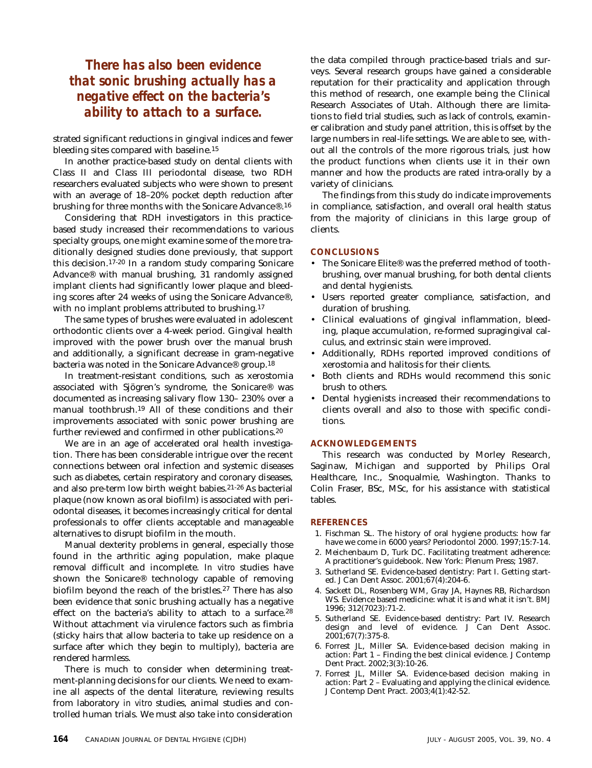### *There has also been evidence that sonic brushing actually has a negative effect on the bacteria's ability to attach to a surface.*

strated significant reductions in gingival indices and fewer bleeding sites compared with baseline.15

In another practice-based study on dental clients with Class II and Class III periodontal disease, two RDH researchers evaluated subjects who were shown to present with an average of 18–20% pocket depth reduction after brushing for three months with the Sonicare Advance®.16

Considering that RDH investigators in this practicebased study increased their recommendations to various specialty groups, one might examine some of the more traditionally designed studies done previously, that support this decision.17-20 In a random study comparing Sonicare Advance® with manual brushing, 31 randomly assigned implant clients had significantly lower plaque and bleeding scores after 24 weeks of using the Sonicare Advance®, with no implant problems attributed to brushing.<sup>17</sup>

The same types of brushes were evaluated in adolescent orthodontic clients over a 4-week period. Gingival health improved with the power brush over the manual brush and additionally, a significant decrease in gram-negative bacteria was noted in the Sonicare Advance® group.18

In treatment-resistant conditions, such as xerostomia associated with Sjögren's syndrome, the Sonicare® was documented as increasing salivary flow 130– 230% over a manual toothbrush.19 All of these conditions and their improvements associated with sonic power brushing are further reviewed and confirmed in other publications.20

We are in an age of accelerated oral health investigation. There has been considerable intrigue over the recent connections between oral infection and systemic diseases such as diabetes, certain respiratory and coronary diseases, and also pre-term low birth weight babies.21-26 As bacterial plaque (now known as oral biofilm) is associated with periodontal diseases, it becomes increasingly critical for dental professionals to offer clients acceptable and manageable alternatives to disrupt biofilm in the mouth.

Manual dexterity problems in general, especially those found in the arthritic aging population, make plaque removal difficult and incomplete. *In vitro* studies have shown the Sonicare® technology capable of removing biofilm beyond the reach of the bristles.27 There has also been evidence that sonic brushing actually has a negative effect on the bacteria's ability to attach to a surface.<sup>28</sup> Without attachment via virulence factors such as fimbria (sticky hairs that allow bacteria to take up residence on a surface after which they begin to multiply), bacteria are rendered harmless.

There is much to consider when determining treatment-planning decisions for our clients. We need to examine all aspects of the dental literature, reviewing results from laboratory *in vitro* studies, animal studies and controlled human trials. We must also take into consideration

the data compiled through practice-based trials and surveys. Several research groups have gained a considerable reputation for their practicality and application through this method of research, one example being the Clinical Research Associates of Utah. Although there are limitations to field trial studies, such as lack of controls, examiner calibration and study panel attrition, this is offset by the large numbers in real-life settings. We are able to see, without all the controls of the more rigorous trials, just how the product functions when clients use it in their own manner and how the products are rated intra-orally by a variety of clinicians.

The findings from this study do indicate improvements in compliance, satisfaction, and overall oral health status from the majority of clinicians in this large group of clients.

### **CONCLUSIONS**

- The Sonicare Elite<sup>®</sup> was the preferred method of toothbrushing, over manual brushing, for both dental clients and dental hygienists.
- Users reported greater compliance, satisfaction, and duration of brushing.
- Clinical evaluations of gingival inflammation, bleeding, plaque accumulation, re-formed supragingival calculus, and extrinsic stain were improved.
- Additionally, RDHs reported improved conditions of xerostomia and halitosis for their clients.
- Both clients and RDHs would recommend this sonic brush to others.
- Dental hygienists increased their recommendations to clients overall and also to those with specific conditions.

### **ACKNOWLEDGEMENTS**

This research was conducted by Morley Research, Saginaw, Michigan and supported by Philips Oral Healthcare, Inc., Snoqualmie, Washington. Thanks to Colin Fraser, BSc, MSc, for his assistance with statistical tables.

### **REFERENCES**

- 1. Fischman SL. The history of oral hygiene products: how far have we come in 6000 years? Periodontol 2000. 1997;15:7-14.
- 2. Meichenbaum D, Turk DC. Facilitating treatment adherence: A practitioner's guidebook. New York: Plenum Press; 1987.
- 3. Sutherland SE. Evidence-based dentistry: Part I. Getting started. J Can Dent Assoc. 2001;67(4):204-6.
- 4. Sackett DL, Rosenberg WM, Gray JA, Haynes RB, Richardson WS. Evidence based medicine: what it is and what it isn't. *BMJ* 1996; 312(7023):71-2.
- 5. Sutherland SE. Evidence-based dentistry: Part IV. Research design and level of evidence. J Can Dent Assoc. 2001;67(7):375-8.
- 6. Forrest JL, Miller SA. Evidence-based decision making in action: Part 1 – Finding the best clinical evidence. J Contemp Dent Pract. 2002;3(3):10-26.
- 7. Forrest JL, Miller SA. Evidence-based decision making in action: Part 2 – Evaluating and applying the clinical evidence. J Contemp Dent Pract. 2003;4(1):42-52.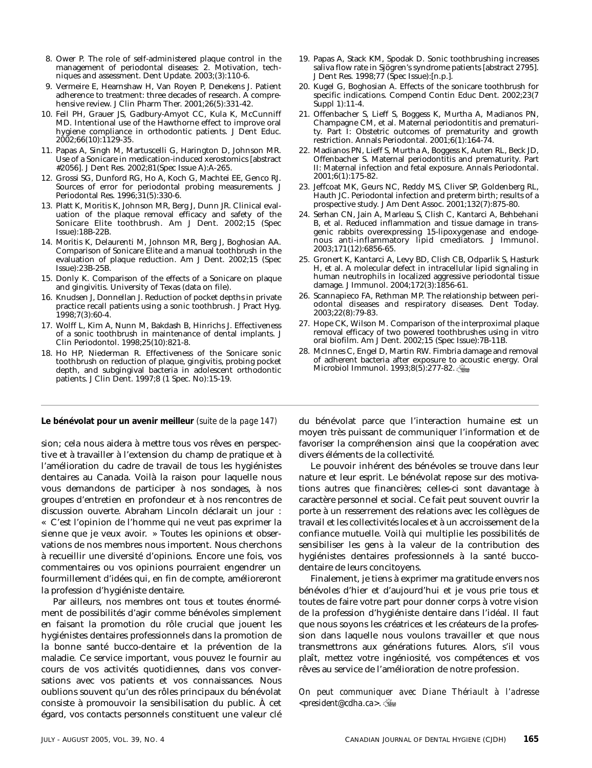- 8. Ower P. The role of self-administered plaque control in the management of periodontal diseases: 2. Motivation, techniques and assessment. Dent Update. 2003;(3):110-6.
- 9. Vermeire E, Hearnshaw H, Van Royen P, Denekens J. Patient adherence to treatment: three decades of research. A comprehensive review. J Clin Pharm Ther. 2001;26(5):331-42.
- 10. Feil PH, Grauer JS, Gadbury-Amyot CC, Kula K, McCunniff MD. Intentional use of the Hawthorne effect to improve oral hygiene compliance in orthodontic patients. J Dent Educ. 2002;66(10):1129-35.
- 11. Papas A, Singh M, Martuscelli G, Harington D, Johnson MR. Use of a Sonicare in medication-induced xerostomics [abstract #2056]. J Dent Res. 2002;81(Spec Issue A):A-265.
- 12. Grossi SG, Dunford RG, Ho A, Koch G, Machtei EE, Genco RJ. Sources of error for periodontal probing measurements. J Periodontal Res. 1996;31(5):330-6.
- 13. Platt K, Moritis K, Johnson MR, Berg J, Dunn JR. Clinical evaluation of the plaque removal efficacy and safety of the Sonicare Elite toothbrush. Am J Dent. 2002;15 (Spec Issue):18B-22B.
- 14. Moritis K, Delaurenti M, Johnson MR, Berg J, Boghosian AA. Comparison of Sonicare Elite and a manual toothbrush in the evaluation of plaque reduction. Am J Dent. 2002;15 (Spec Issue):23B-25B.
- 15. Donly K. Comparison of the effects of a Sonicare on plaque and gingivitis. University of Texas (data on file).
- 16. Knudsen J, Donnellan J. Reduction of pocket depths in private practice recall patients using a sonic toothbrush. J Pract Hyg.  $1998;7(3):60-4.$
- 17. Wolff L, Kim A, Nunn M, Bakdash B, Hinrichs J. Effectiveness of a sonic toothbrush in maintenance of dental implants. J Clin Periodontol. 1998;25(10):821-8.
- 18. Ho HP, Niederman R. Effectiveness of the Sonicare sonic toothbrush on reduction of plaque, gingivitis, probing pocket depth, and subgingival bacteria in adolescent orthodontic patients. J Clin Dent. 1997;8 (1 Spec. No):15-19.
- 19. Papas A, Stack KM, Spodak D. Sonic toothbrushing increases saliva flow rate in Sjögren's syndrome patients [abstract 2795]. J Dent Res. 1998;77 (Spec Issue):[n.p.].
- 20. Kugel G, Boghosian A. Effects of the sonicare toothbrush for specific indications. Compend Contin Educ Dent. 2002;23(7 Suppl 1):11-4.
- 21. Offenbacher S, Lieff S, Boggess K, Murtha A, Madianos PN, Champagne CM, et al. Maternal periodontitis and prematurity. Part I: Obstetric outcomes of prematurity and growth restriction. Annals Periodontal. 2001;6(1):164-74.
- 22. Madianos PN, Lieff S, Murtha A, Boggess K, Auten RL, Beck JD, Offenbacher S. Maternal periodontitis and prematurity. Part II: Maternal infection and fetal exposure. Annals Periodontal. 2001;6(1):175-82.
- 23. Jeffcoat MK, Geurs NC, Reddy MS, Cliver SP, Goldenberg RL, Hauth JC. Periodontal infection and preterm birth; results of a prospective study. J Am Dent Assoc. 2001;132(7):875-80.
- 24. Serhan CN, Jain A, Marleau S, Clish C, Kantarci A, Behbehani B, et al. Reduced inflammation and tissue damage in transgenic rabbits overexpressing 15-lipoxygenase and endogenous anti-inflammatory lipid cmediators. J Immunol. 2003;171(12):6856-65.
- 25. Gronert K, Kantarci A, Levy BD, Clish CB, Odparlik S, Hasturk H, et al. A molecular defect in intracellular lipid signaling in human neutrophils in localized aggressive periodontal tissue damage. J Immunol. 2004;172(3):1856-61.
- 26. Scannapieco FA, Rethman MP. The relationship between periodontal diseases and respiratory diseases. Dent Today. 2003;22(8):79-83.
- 27. Hope CK, Wilson M. Comparison of the interproximal plaque removal efficacy of two powered toothbrushes using in vitro oral biofilm. Am J Dent. 2002;15 (Spec Issue):7B-11B.
- 28. McInnes C, Engel D, Martin RW. Fimbria damage and removal of adherent bacteria after exposure to acoustic energy. Oral Microbiol Immunol. 1993;8(5):277-82.

**Le bénévolat pour un avenir meilleur** *(suite de la page 147)* du bénévolat parce que l'interaction humaine est un

sion; cela nous aidera à mettre tous vos rêves en perspective et à travailler à l'extension du champ de pratique et à l'amélioration du cadre de travail de tous les hygiénistes dentaires au Canada. Voilà la raison pour laquelle nous vous demandons de participer à nos sondages, à nos groupes d'entretien en profondeur et à nos rencontres de discussion ouverte. Abraham Lincoln déclarait un jour : « C'est l'opinion de l'homme qui ne veut pas exprimer la sienne que je veux avoir. » Toutes les opinions et observations de nos membres nous importent. Nous cherchons à recueillir une diversité d'opinions. Encore une fois, vos commentaires ou vos opinions pourraient engendrer un fourmillement d'idées qui, en fin de compte, amélioreront la profession d'hygiéniste dentaire.

Par ailleurs, nos membres ont tous et toutes énormément de possibilités d'agir comme bénévoles simplement en faisant la promotion du rôle crucial que jouent les hygiénistes dentaires professionnels dans la promotion de la bonne santé bucco-dentaire et la prévention de la maladie. Ce service important, vous pouvez le fournir au cours de vos activités quotidiennes, dans vos conversations avec vos patients et vos connaissances. Nous oublions souvent qu'un des rôles principaux du bénévolat consiste à promouvoir la sensibilisation du public. À cet égard, vos contacts personnels constituent une valeur clé

moyen très puissant de communiquer l'information et de favoriser la compréhension ainsi que la coopération avec divers éléments de la collectivité.

Le pouvoir inhérent des bénévoles se trouve dans leur nature et leur esprit. Le bénévolat repose sur des motivations autres que financières; celles-ci sont davantage à caractère personnel et social. Ce fait peut souvent ouvrir la porte à un resserrement des relations avec les collègues de travail et les collectivités locales et à un accroissement de la confiance mutuelle. Voilà qui multiplie les possibilités de sensibiliser les gens à la valeur de la contribution des hygiénistes dentaires professionnels à la santé buccodentaire de leurs concitoyens.

Finalement, je tiens à exprimer ma gratitude envers nos bénévoles d'hier et d'aujourd'hui et je vous prie tous et toutes de faire votre part pour donner corps à votre vision de la profession d'hygiéniste dentaire dans l'idéal. Il faut que nous soyons les créatrices et les créateurs de la profession dans laquelle nous voulons travailler et que nous transmettrons aux générations futures. Alors, s'il vous plaît, mettez votre ingéniosité, vos compétences et vos rêves au service de l'amélioration de notre profession.

*On peut communiquer avec Diane Thériault à l'adresse <president@cdha.ca>.*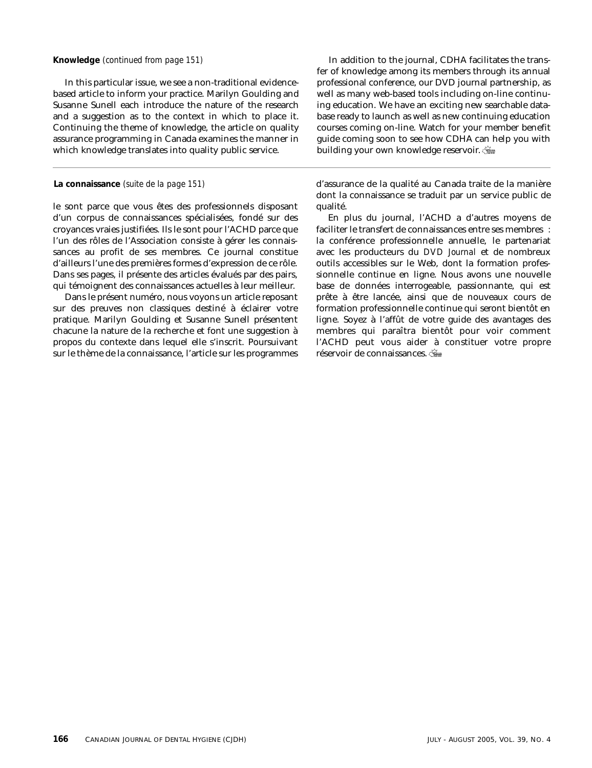In this particular issue, we see a non-traditional evidencebased article to inform your practice. Marilyn Goulding and Susanne Sunell each introduce the nature of the research and a suggestion as to the context in which to place it. Continuing the theme of knowledge, the article on quality assurance programming in Canada examines the manner in which knowledge translates into quality public service.

### **La connaissance** *(suite de la page 151)*

le sont parce que vous êtes des professionnels disposant d'un corpus de connaissances spécialisées, fondé sur des croyances vraies justifiées. Ils le sont pour l'ACHD parce que l'un des rôles de l'Association consiste à gérer les connaissances au profit de ses membres. Ce journal constitue d'ailleurs l'une des premières formes d'expression de ce rôle. Dans ses pages, il présente des articles évalués par des pairs, qui témoignent des connaissances actuelles à leur meilleur.

Dans le présent numéro, nous voyons un article reposant sur des preuves non classiques destiné à éclairer votre pratique. Marilyn Goulding et Susanne Sunell présentent chacune la nature de la recherche et font une suggestion à propos du contexte dans lequel elle s'inscrit. Poursuivant sur le thème de la connaissance, l'article sur les programmes

**Knowledge** *(continued from page 151)* In addition to the journal, CDHA facilitates the transfer of knowledge among its members through its annual professional conference, our DVD journal partnership, as well as many web-based tools including on-line continuing education. We have an exciting new searchable database ready to launch as well as new continuing education courses coming on-line. Watch for your member benefit guide coming soon to see how CDHA can help you with building your own knowledge reservoir.

> d'assurance de la qualité au Canada traite de la manière dont la connaissance se traduit par un service public de qualité.

> En plus du journal, l'ACHD a d'autres moyens de faciliter le transfert de connaissances entre ses membres : la conférence professionnelle annuelle, le partenariat avec les producteurs du *DVD Journal* et de nombreux outils accessibles sur le Web, dont la formation professionnelle continue en ligne. Nous avons une nouvelle base de données interrogeable, passionnante, qui est prête à être lancée, ainsi que de nouveaux cours de formation professionnelle continue qui seront bientôt en ligne. Soyez à l'affût de votre guide des avantages des membres qui paraîtra bientôt pour voir comment l'ACHD peut vous aider à constituer votre propre réservoir de connaissances.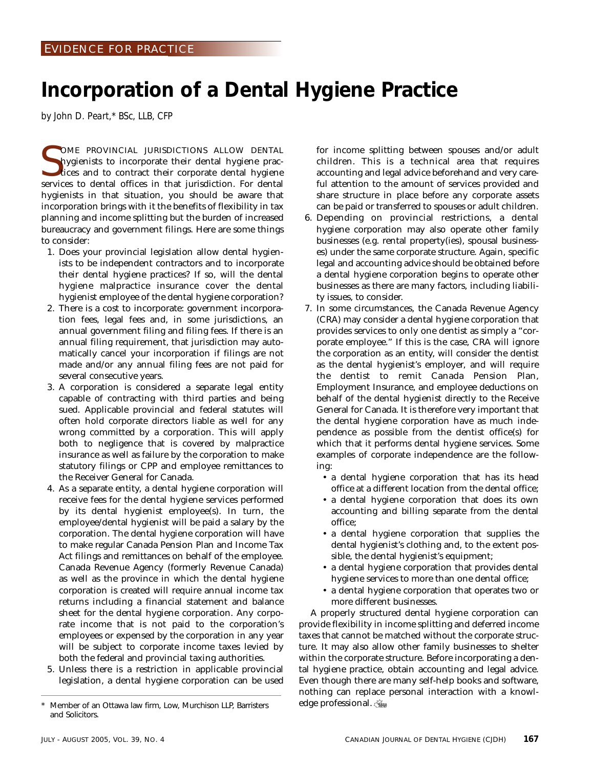## **Incorporation of a Dental Hygiene Practice**

*by John D. Peart,\* BSc, LLB, CFP*

SOME PROVINCIAL JURISDICTIONS ALLOW DENTAL hygienists to incorporate their dental hygiene practices and to contract their corporate dental hygiene services to dental offices in that jurisdiction. For dental OME PROVINCIAL JURISDICTIONS ALLOW DENTAL hygienists to incorporate their dental hygiene practices and to contract their corporate dental hygiene hygienists in that situation, you should be aware that incorporation brings with it the benefits of flexibility in tax planning and income splitting but the burden of increased bureaucracy and government filings. Here are some things to consider:

- 1. Does your provincial legislation allow dental hygienists to be independent contractors and to incorporate their dental hygiene practices? If so, will the dental hygiene malpractice insurance cover the dental hygienist employee of the dental hygiene corporation?
- 2. There is a cost to incorporate: government incorporation fees, legal fees and, in some jurisdictions, an annual government filing and filing fees. If there is an annual filing requirement, that jurisdiction may automatically cancel your incorporation if filings are not made and/or any annual filing fees are not paid for several consecutive years.
- 3. A corporation is considered a separate legal entity capable of contracting with third parties and being sued. Applicable provincial and federal statutes will often hold corporate directors liable as well for any wrong committed by a corporation. This will apply both to negligence that is covered by malpractice insurance as well as failure by the corporation to make statutory filings or CPP and employee remittances to the Receiver General for Canada.
- 4. As a separate entity, a dental hygiene corporation will receive fees for the dental hygiene services performed by its dental hygienist employee(s). In turn, the employee/dental hygienist will be paid a salary by the corporation. The dental hygiene corporation will have to make regular Canada Pension Plan and Income Tax Act filings and remittances on behalf of the employee. Canada Revenue Agency (formerly Revenue Canada) as well as the province in which the dental hygiene corporation is created will require annual income tax returns including a financial statement and balance sheet for the dental hygiene corporation. Any corporate income that is not paid to the corporation's employees or expensed by the corporation in any year will be subject to corporate income taxes levied by both the federal and provincial taxing authorities.
- 5. Unless there is a restriction in applicable provincial legislation, a dental hygiene corporation can be used

for income splitting between spouses and/or adult children. This is a technical area that requires accounting and legal advice beforehand and very careful attention to the amount of services provided and share structure in place before any corporate assets can be paid or transferred to spouses or adult children.

- 6. Depending on provincial restrictions, a dental hygiene corporation may also operate other family businesses (e.g. rental property(ies), spousal businesses) under the same corporate structure. Again, specific legal and accounting advice should be obtained before a dental hygiene corporation begins to operate other businesses as there are many factors, including liability issues, to consider.
- 7. In some circumstances, the Canada Revenue Agency (CRA) may consider a dental hygiene corporation that provides services to only one dentist as simply a "corporate employee." If this is the case, CRA will ignore the corporation as an entity, will consider the dentist as the dental hygienist's employer, and will require the dentist to remit Canada Pension Plan, Employment Insurance, and employee deductions on behalf of the dental hygienist directly to the Receive General for Canada. It is therefore very important that the dental hygiene corporation have as much independence as possible from the dentist office(s) for which that it performs dental hygiene services. Some examples of corporate independence are the following:
	- a dental hygiene corporation that has its head office at a different location from the dental office;
	- a dental hygiene corporation that does its own accounting and billing separate from the dental office;
	- a dental hygiene corporation that supplies the dental hygienist's clothing and, to the extent possible, the dental hygienist's equipment;
	- a dental hygiene corporation that provides dental hygiene services to more than one dental office;
	- a dental hygiene corporation that operates two or more different businesses.

A properly structured dental hygiene corporation can provide flexibility in income splitting and deferred income taxes that cannot be matched without the corporate structure. It may also allow other family businesses to shelter within the corporate structure. Before incorporating a dental hygiene practice, obtain accounting and legal advice. Even though there are many self-help books and software, nothing can replace personal interaction with a knowledge professional.

Member of an Ottawa law firm, Low, Murchison LLP, Barristers and Solicitors.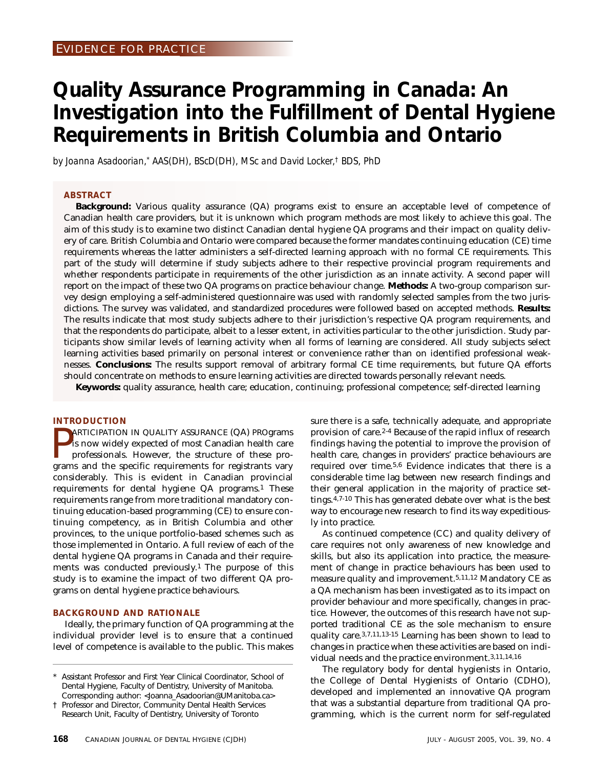## **Quality Assurance Programming in Canada: An Investigation into the Fulfillment of Dental Hygiene Requirements in British Columbia and Ontario**

*by Joanna Asadoorian,\* AAS(DH), BScD(DH), MSc and David Locker,† BDS, PhD*

### **ABSTRACT**

**Background:** Various quality assurance (QA) programs exist to ensure an acceptable level of competence of Canadian health care providers, but it is unknown which program methods are most likely to achieve this goal. The aim of this study is to examine two distinct Canadian dental hygiene QA programs and their impact on quality delivery of care. British Columbia and Ontario were compared because the former mandates continuing education (CE) time requirements whereas the latter administers a self-directed learning approach with no formal CE requirements. This part of the study will determine if study subjects adhere to their respective provincial program requirements and whether respondents participate in requirements of the other jurisdiction as an innate activity. A second paper will report on the impact of these two QA programs on practice behaviour change. **Methods:** A two-group comparison survey design employing a self-administered questionnaire was used with randomly selected samples from the two jurisdictions. The survey was validated, and standardized procedures were followed based on accepted methods. **Results:** The results indicate that most study subjects adhere to their jurisdiction's respective QA program requirements, and that the respondents do participate, albeit to a lesser extent, in activities particular to the other jurisdiction. Study participants show similar levels of learning activity when all forms of learning are considered. All study subjects select learning activities based primarily on personal interest or convenience rather than on identified professional weaknesses. **Conclusions:** The results support removal of arbitrary formal CE time requirements, but future QA efforts should concentrate on methods to ensure learning activities are directed towards personally relevant needs.

**Keywords:** quality assurance, health care; education, continuing; professional competence; self-directed learning

### **INTRODUCTION**

**PARTICIPATION IN QUALITY ASSURANCE (QA) PROgrams** is now widely expected of most Canadian health care professionals. However, the structure of these programs and the specific requirements for registrants vary ARTICIPATION IN QUALITY ASSURANCE (QA) PROgrams is now widely expected of most Canadian health care professionals. However, the structure of these proconsiderably. This is evident in Canadian provincial requirements for dental hygiene QA programs.1 These requirements range from more traditional mandatory continuing education-based programming (CE) to ensure continuing competency, as in British Columbia and other provinces, to the unique portfolio-based schemes such as those implemented in Ontario. A full review of each of the dental hygiene QA programs in Canada and their requirements was conducted previously.1 The purpose of this study is to examine the impact of two different QA programs on dental hygiene practice behaviours.

### **BACKGROUND AND RATIONALE**

Ideally, the primary function of QA programming at the individual provider level is to ensure that a continued level of competence is available to the public. This makes sure there is a safe, technically adequate, and appropriate provision of care.2-4 Because of the rapid influx of research findings having the potential to improve the provision of health care, changes in providers' practice behaviours are required over time.5,6 Evidence indicates that there is a considerable time lag between new research findings and their general application in the majority of practice settings.4,7-10 This has generated debate over what is the best way to encourage new research to find its way expeditiously into practice.

As continued competence (CC) and quality delivery of care requires not only awareness of new knowledge and skills, but also its application into practice, the measurement of change in practice behaviours has been used to measure quality and improvement.5,11,12 Mandatory CE as a QA mechanism has been investigated as to its impact on provider behaviour and more specifically, changes in practice. However, the outcomes of this research have not supported traditional CE as the sole mechanism to ensure quality care.3,7,11,13-15 Learning has been shown to lead to changes in practice when these activities are based on individual needs and the practice environment.3,11,14,16

The regulatory body for dental hygienists in Ontario, the College of Dental Hygienists of Ontario (CDHO), developed and implemented an innovative QA program that was a substantial departure from traditional QA programming, which is the current norm for self-regulated

Assistant Professor and First Year Clinical Coordinator, School of Dental Hygiene, Faculty of Dentistry, University of Manitoba. Corresponding author: <Joanna\_Asadoorian@UManitoba.ca>

<sup>†</sup> Professor and Director, Community Dental Health Services Research Unit, Faculty of Dentistry, University of Toronto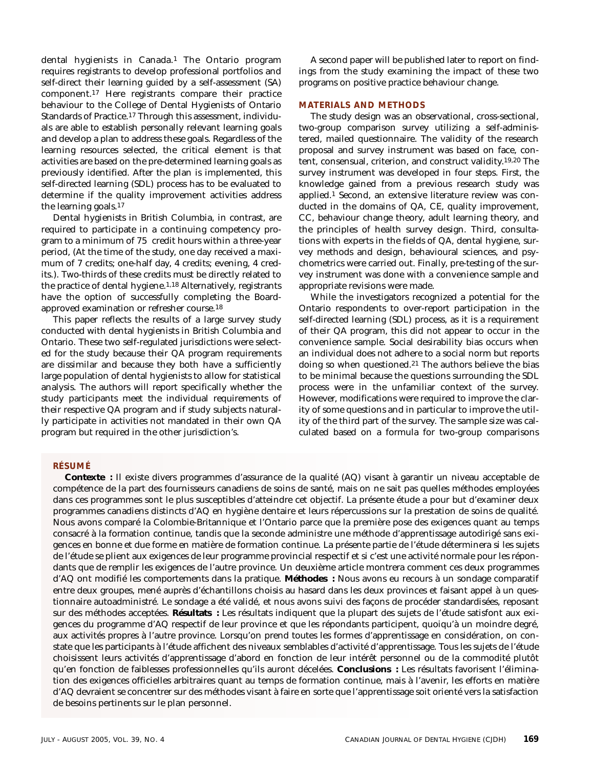dental hygienists in Canada.<sup>1</sup> The Ontario program requires registrants to develop professional portfolios and self-direct their learning guided by a self-assessment (SA) component.17 Here registrants compare their practice behaviour to the College of Dental Hygienists of Ontario Standards of Practice.17 Through this assessment, individuals are able to establish personally relevant learning goals and develop a plan to address these goals. Regardless of the learning resources selected, the critical element is that activities are based on the pre-determined learning goals as previously identified. After the plan is implemented, this self-directed learning (SDL) process has to be evaluated to determine if the quality improvement activities address the learning goals.17

Dental hygienists in British Columbia, in contrast, are required to participate in a continuing competency program to a minimum of 75 credit hours within a three-year period, (At the time of the study, one day received a maximum of 7 credits; one-half day, 4 credits; evening, 4 credits.). Two-thirds of these credits must be directly related to the practice of dental hygiene.1,18 Alternatively, registrants have the option of successfully completing the Boardapproved examination or refresher course.18

This paper reflects the results of a large survey study conducted with dental hygienists in British Columbia and Ontario. These two self-regulated jurisdictions were selected for the study because their QA program requirements are dissimilar and because they both have a sufficiently large population of dental hygienists to allow for statistical analysis. The authors will report specifically whether the study participants meet the individual requirements of their respective QA program and if study subjects naturally participate in activities not mandated in their own QA program but required in the other jurisdiction's.

A second paper will be published later to report on findings from the study examining the impact of these two programs on positive practice behaviour change.

### **MATERIALS AND METHODS**

The study design was an observational, cross-sectional, two-group comparison survey utilizing a self-administered, mailed questionnaire. The validity of the research proposal and survey instrument was based on face, content, consensual, criterion, and construct validity.19,20 The survey instrument was developed in four steps. First, the knowledge gained from a previous research study was applied.1 Second, an extensive literature review was conducted in the domains of QA, CE, quality improvement, CC, behaviour change theory, adult learning theory, and the principles of health survey design. Third, consultations with experts in the fields of QA, dental hygiene, survey methods and design, behavioural sciences, and psychometrics were carried out. Finally, pre-testing of the survey instrument was done with a convenience sample and appropriate revisions were made.

While the investigators recognized a potential for the Ontario respondents to over-report participation in the self-directed learning (SDL) process, as it is a requirement of their QA program, this did not appear to occur in the convenience sample. Social desirability bias occurs when an individual does not adhere to a social norm but reports doing so when questioned.<sup>21</sup> The authors believe the bias to be minimal because the questions surrounding the SDL process were in the unfamiliar context of the survey. However, modifications were required to improve the clarity of some questions and in particular to improve the utility of the third part of the survey. The sample size was calculated based on a formula for two-group comparisons

#### **RÉSUMÉ**

**Contexte :** Il existe divers programmes d'assurance de la qualité (AQ) visant à garantir un niveau acceptable de compétence de la part des fournisseurs canadiens de soins de santé, mais on ne sait pas quelles méthodes employées dans ces programmes sont le plus susceptibles d'atteindre cet objectif. La présente étude a pour but d'examiner deux programmes canadiens distincts d'AQ en hygiène dentaire et leurs répercussions sur la prestation de soins de qualité. Nous avons comparé la Colombie-Britannique et l'Ontario parce que la première pose des exigences quant au temps consacré à la formation continue, tandis que la seconde administre une méthode d'apprentissage autodirigé sans exigences en bonne et due forme en matière de formation continue. La présente partie de l'étude déterminera si les sujets de l'étude se plient aux exigences de leur programme provincial respectif et si c'est une activité normale pour les répondants que de remplir les exigences de l'autre province. Un deuxième article montrera comment ces deux programmes d'AQ ont modifié les comportements dans la pratique. **Méthodes :** Nous avons eu recours à un sondage comparatif entre deux groupes, mené auprès d'échantillons choisis au hasard dans les deux provinces et faisant appel à un questionnaire autoadministré. Le sondage a été validé, et nous avons suivi des façons de procéder standardisées, reposant sur des méthodes acceptées. **Résultats :** Les résultats indiquent que la plupart des sujets de l'étude satisfont aux exigences du programme d'AQ respectif de leur province et que les répondants participent, quoiqu'à un moindre degré, aux activités propres à l'autre province. Lorsqu'on prend toutes les formes d'apprentissage en considération, on constate que les participants à l'étude affichent des niveaux semblables d'activité d'apprentissage. Tous les sujets de l'étude choisissent leurs activités d'apprentissage d'abord en fonction de leur intérêt personnel ou de la commodité plutôt qu'en fonction de faiblesses professionnelles qu'ils auront décelées. **Conclusions :** Les résultats favorisent l'élimination des exigences officielles arbitraires quant au temps de formation continue, mais à l'avenir, les efforts en matière d'AQ devraient se concentrer sur des méthodes visant à faire en sorte que l'apprentissage soit orienté vers la satisfaction de besoins pertinents sur le plan personnel.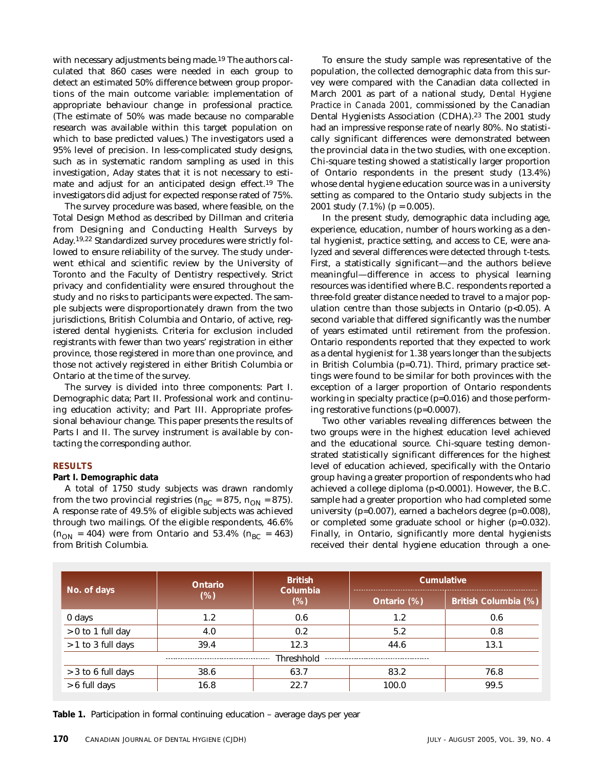with necessary adjustments being made.<sup>19</sup> The authors calculated that 860 cases were needed in each group to detect an estimated 50% difference between group proportions of the main outcome variable: implementation of appropriate behaviour change in professional practice. (The estimate of 50% was made because no comparable research was available within this target population on which to base predicted values.) The investigators used a 95% level of precision. In less-complicated study designs, such as in systematic random sampling as used in this investigation, Aday states that it is not necessary to estimate and adjust for an anticipated design effect.19 The investigators did adjust for expected response rated of 75%.

The survey procedure was based, where feasible, on the Total Design Method as described by Dillman and criteria from Designing and Conducting Health Surveys by Aday.19,22 Standardized survey procedures were strictly followed to ensure reliability of the survey. The study underwent ethical and scientific review by the University of Toronto and the Faculty of Dentistry respectively. Strict privacy and confidentiality were ensured throughout the study and no risks to participants were expected. The sample subjects were disproportionately drawn from the two jurisdictions, British Columbia and Ontario, of active, registered dental hygienists. Criteria for exclusion included registrants with fewer than two years' registration in either province, those registered in more than one province, and those not actively registered in either British Columbia or Ontario at the time of the survey.

The survey is divided into three components: Part I. Demographic data; Part II. Professional work and continuing education activity; and Part III. Appropriate professional behaviour change. This paper presents the results of Parts I and II. The survey instrument is available by contacting the corresponding author.

### **RESULTS**

### **Part I. Demographic data**

A total of 1750 study subjects was drawn randomly from the two provincial registries ( $n_{BC}$  = 875,  $n_{ON}$  = 875). A response rate of 49.5% of eligible subjects was achieved through two mailings. Of the eligible respondents, 46.6%  $(n_{ON} = 404)$  were from Ontario and 53.4%  $(n_{BC} = 463)$ from British Columbia.

To ensure the study sample was representative of the population, the collected demographic data from this survey were compared with the Canadian data collected in March 2001 as part of a national study, *Dental Hygiene Practice in Canada 2001,* commissioned by the Canadian Dental Hygienists Association (CDHA).23 The 2001 study had an impressive response rate of nearly 80%. No statistically significant differences were demonstrated between the provincial data in the two studies, with one exception. Chi-square testing showed a statistically larger proportion of Ontario respondents in the present study (13.4%) whose dental hygiene education source was in a university setting as compared to the Ontario study subjects in the 2001 study  $(7.1\%)$  (p = 0.005).

In the present study, demographic data including age, experience, education, number of hours working as a dental hygienist, practice setting, and access to CE, were analyzed and several differences were detected through t-tests. First, a statistically significant—and the authors believe meaningful—difference in access to physical learning resources was identified where B.C. respondents reported a three-fold greater distance needed to travel to a major population centre than those subjects in Ontario  $(p<0.05)$ . A second variable that differed significantly was the number of years estimated until retirement from the profession. Ontario respondents reported that they expected to work as a dental hygienist for 1.38 years longer than the subjects in British Columbia (p=0.71). Third, primary practice settings were found to be similar for both provinces with the exception of a larger proportion of Ontario respondents working in specialty practice (p=0.016) and those performing restorative functions (p=0.0007).

Two other variables revealing differences between the two groups were in the highest education level achieved and the educational source. Chi-square testing demonstrated statistically significant differences for the highest level of education achieved, specifically with the Ontario group having a greater proportion of respondents who had achieved a college diploma (p<0.0001). However, the B.C. sample had a greater proportion who had completed some university (p=0.007), earned a bachelors degree (p=0.008), or completed some graduate school or higher (p=0.032). Finally, in Ontario, significantly more dental hygienists received their dental hygiene education through a one-

| No. of days        | Ontario | <b>British</b><br>Columbia | Cumulative  |                      |  |  |
|--------------------|---------|----------------------------|-------------|----------------------|--|--|
|                    | $(\%)$  | (%)                        | Ontario (%) | British Columbia (%) |  |  |
| 0 days             | 1.2     | 0.6                        | 1.2         | 0.6                  |  |  |
| > 0 to 1 full day  | 4.0     | 0.2                        | 5.2         | 0.8                  |  |  |
| > 1 to 3 full days | 39.4    | 12.3                       | 44.6        |                      |  |  |
| Threshhold         |         |                            |             |                      |  |  |
| > 3 to 6 full days | 38.6    | 63.7                       | 83.2        | 76.8                 |  |  |
| > 6 full days      | 16.8    | 22.7<br>100.0              |             | 99.5                 |  |  |

**Table 1.** Participation in formal continuing education – average days per year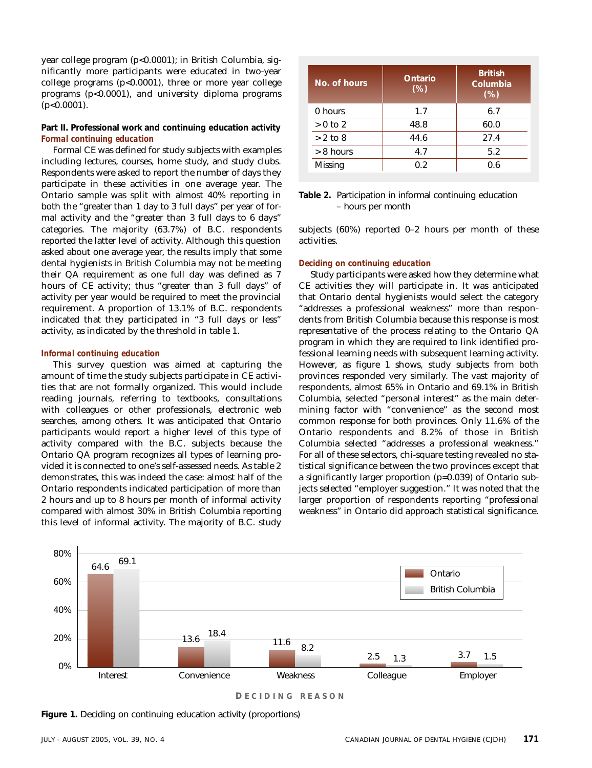year college program (p<0.0001); in British Columbia, significantly more participants were educated in two-year college programs (p<0.0001), three or more year college programs  $(p<0.0001)$ , and university diploma programs  $(p<0.0001)$ .

### **Part II. Professional work and continuing education activity**  *Formal continuing education*

Formal CE was defined for study subjects with examples including lectures, courses, home study, and study clubs. Respondents were asked to report the number of days they participate in these activities in one average year. The Ontario sample was split with almost 40% reporting in both the "greater than 1 day to 3 full days" per year of formal activity and the "greater than 3 full days to 6 days" categories. The majority (63.7%) of B.C. respondents reported the latter level of activity. Although this question asked about one average year, the results imply that some dental hygienists in British Columbia may not be meeting their QA requirement as one full day was defined as 7 hours of CE activity; thus "greater than 3 full days" of activity per year would be required to meet the provincial requirement. A proportion of 13.1% of B.C. respondents indicated that they participated in "3 full days or less" activity, as indicated by the threshold in table 1.

### *Informal continuing education*

This survey question was aimed at capturing the amount of time the study subjects participate in CE activities that are not formally organized. This would include reading journals, referring to textbooks, consultations with colleagues or other professionals, electronic web searches, among others. It was anticipated that Ontario participants would report a higher level of this type of activity compared with the B.C. subjects because the Ontario QA program recognizes all types of learning provided it is connected to one's self-assessed needs. As table 2 demonstrates, this was indeed the case: almost half of the Ontario respondents indicated participation of more than 2 hours and up to 8 hours per month of informal activity compared with almost 30% in British Columbia reporting this level of informal activity. The majority of B.C. study

| No. of hours | Ontario<br>(%) | <b>British</b><br>Columbia<br>(%) |
|--------------|----------------|-----------------------------------|
| 0 hours      | 1.7            | 6.7                               |
| $> 0$ to 2   | 48.8           | 60.0                              |
| $> 2$ to 8   | 44.6           | 27.4                              |
| $> 8$ hours  | 4.7            | 5.2                               |
| Missing      | 0.2            | 0.6                               |

**Table 2.** Participation in informal continuing education – hours per month

subjects (60%) reported 0–2 hours per month of these activities.

### *Deciding on continuing education*

Study participants were asked how they determine what CE activities they will participate in. It was anticipated that Ontario dental hygienists would select the category "addresses a professional weakness" more than respondents from British Columbia because this response is most representative of the process relating to the Ontario QA program in which they are required to link identified professional learning needs with subsequent learning activity. However, as figure 1 shows, study subjects from both provinces responded very similarly. The vast majority of respondents, almost 65% in Ontario and 69.1% in British Columbia, selected "personal interest" as the main determining factor with "convenience" as the second most common response for both provinces. Only 11.6% of the Ontario respondents and 8.2% of those in British Columbia selected "addresses a professional weakness." For all of these selectors, chi-square testing revealed no statistical significance between the two provinces except that a significantly larger proportion (p=0.039) of Ontario subjects selected "employer suggestion." It was noted that the larger proportion of respondents reporting "professional weakness" in Ontario did approach statistical significance.



**D ECIDING REASON**

**Figure 1.** Deciding on continuing education activity (proportions)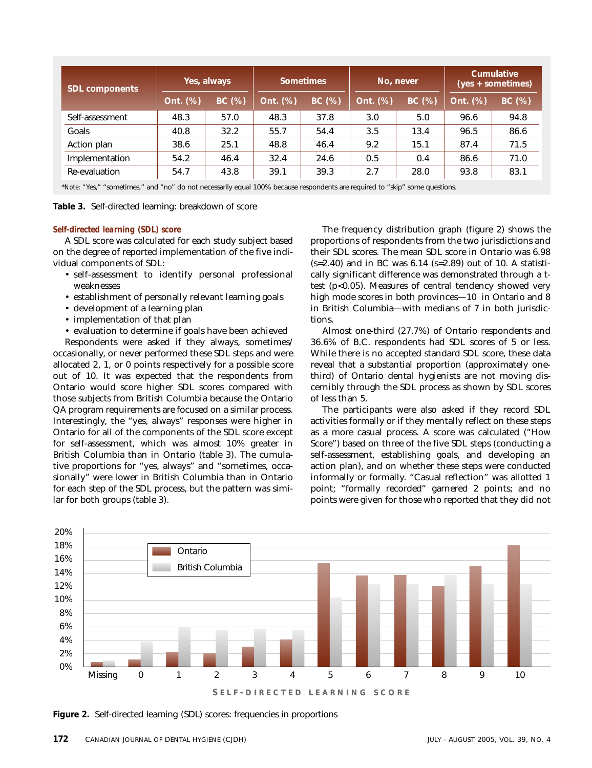| <b>SDL components</b> | Yes, always |       | <b>Sometimes</b> |       | No, never |       | Cumulative<br>(yes + sometimes) |        |
|-----------------------|-------------|-------|------------------|-------|-----------|-------|---------------------------------|--------|
|                       | Ont. (%)    | BC(%) | Ont. (%)         | BC(%) | Ont. (%)  | BC(%) | Ont. (%)                        | BC (%) |
| Self-assessment       | 48.3        | 57.0  | 48.3             | 37.8  | 3.0       | 5.0   | 96.6                            | 94.8   |
| Goals                 | 40.8        | 32.2  | 55.7             | 54.4  | 3.5       | 13.4  | 96.5                            | 86.6   |
| Action plan           | 38.6        | 25.1  | 48.8             | 46.4  | 9.2       | 15.1  | 87.4                            | 71.5   |
| Implementation        | 54.2        | 46.4  | 32.4             | 24.6  | 0.5       | 0.4   | 86.6                            | 71.0   |
| Re-evaluation         | 54.7        | 43.8  | 39.1             | 39.3  | 2.7       | 28.0  | 93.8                            | 83.1   |

\**Note: "*Yes," "sometimes," and "no" do not necessarily equal 100% because respondents are required to "skip" some questions.

**Table 3.** Self-directed learning: breakdown of score

#### *Self-directed learning (SDL) score*

A SDL score was calculated for each study subject based on the degree of reported implementation of the five individual components of SDL:

- self-assessment to identify personal professional weaknesses
- establishment of personally relevant learning goals
- development of a learning plan
- implementation of that plan
- evaluation to determine if goals have been achieved

Respondents were asked if they always, sometimes/ occasionally, or never performed these SDL steps and were allocated 2, 1, or 0 points respectively for a possible score out of 10. It was expected that the respondents from Ontario would score higher SDL scores compared with those subjects from British Columbia because the Ontario QA program requirements are focused on a similar process. Interestingly, the "yes, always" responses were higher in Ontario for all of the components of the SDL score except for self-assessment, which was almost 10% greater in British Columbia than in Ontario (table 3). The cumulative proportions for "yes, always" and "sometimes, occasionally" were lower in British Columbia than in Ontario for each step of the SDL process, but the pattern was similar for both groups (table 3).

The frequency distribution graph (figure 2) shows the proportions of respondents from the two jurisdictions and their SDL scores. The mean SDL score in Ontario was 6.98  $(s=2.40)$  and in BC was 6.14  $(s=2.89)$  out of 10. A statistically significant difference was demonstrated through a ttest (p<0.05). Measures of central tendency showed very high mode scores in both provinces—10 in Ontario and 8 in British Columbia—with medians of 7 in both jurisdictions.

Almost one-third (27.7%) of Ontario respondents and 36.6% of B.C. respondents had SDL scores of 5 or less. While there is no accepted standard SDL score, these data reveal that a substantial proportion (approximately onethird) of Ontario dental hygienists are not moving discernibly through the SDL process as shown by SDL scores of less than 5.

The participants were also asked if they record SDL activities formally or if they mentally reflect on these steps as a more casual process. A score was calculated ("How Score") based on three of the five SDL steps (conducting a self-assessment, establishing goals, and developing an action plan), and on whether these steps were conducted informally or formally. "Casual reflection" was allotted 1 point; "formally recorded" garnered 2 points; and no points were given for those who reported that they did not



**Figure 2.** Self-directed learning (SDL) scores: frequencies in proportions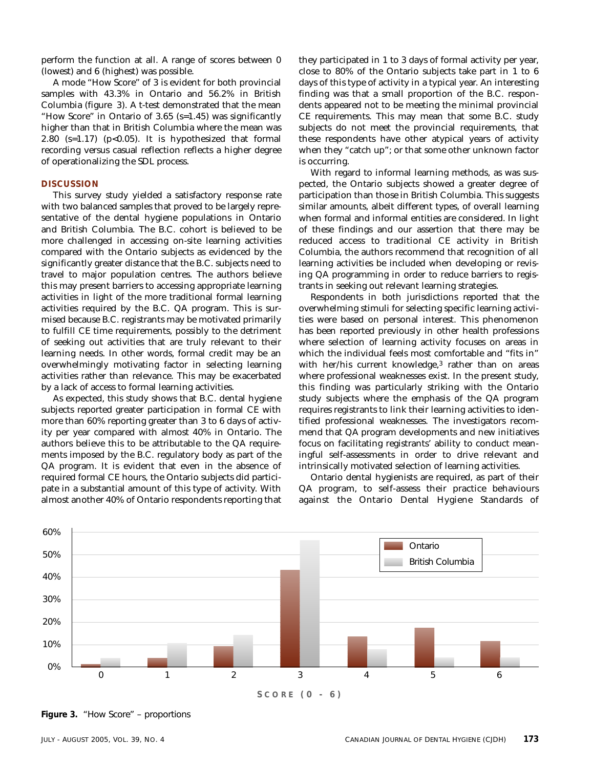perform the function at all. A range of scores between 0 (lowest) and 6 (highest) was possible.

A mode "How Score" of 3 is evident for both provincial samples with 43.3% in Ontario and 56.2% in British Columbia (figure 3). A t-test demonstrated that the mean "How Score" in Ontario of 3.65 (s=1.45) was significantly higher than that in British Columbia where the mean was 2.80  $(s=1.17)$  (p<0.05). It is hypothesized that formal recording versus casual reflection reflects a higher degree of operationalizing the SDL process.

### **DISCUSSION**

This survey study yielded a satisfactory response rate with two balanced samples that proved to be largely representative of the dental hygiene populations in Ontario and British Columbia. The B.C. cohort is believed to be more challenged in accessing on-site learning activities compared with the Ontario subjects as evidenced by the significantly greater distance that the B.C. subjects need to travel to major population centres. The authors believe this may present barriers to accessing appropriate learning activities in light of the more traditional formal learning activities required by the B.C. QA program. This is surmised because B.C. registrants may be motivated primarily to fulfill CE time requirements, possibly to the detriment of seeking out activities that are truly relevant to their learning needs. In other words, formal credit may be an overwhelmingly motivating factor in selecting learning activities rather than relevance. This may be exacerbated by a lack of access to formal learning activities.

As expected, this study shows that B.C. dental hygiene subjects reported greater participation in formal CE with more than 60% reporting greater than 3 to 6 days of activity per year compared with almost 40% in Ontario. The authors believe this to be attributable to the QA requirements imposed by the B.C. regulatory body as part of the QA program. It is evident that even in the absence of required formal CE hours, the Ontario subjects did participate in a substantial amount of this type of activity. With almost another 40% of Ontario respondents reporting that

they participated in 1 to 3 days of formal activity per year, close to 80% of the Ontario subjects take part in 1 to 6 days of this type of activity in a typical year. An interesting finding was that a small proportion of the B.C. respondents appeared not to be meeting the minimal provincial CE requirements. This may mean that some B.C. study subjects do not meet the provincial requirements, that these respondents have other atypical years of activity when they "catch up"; or that some other unknown factor is occurring.

With regard to informal learning methods, as was suspected, the Ontario subjects showed a greater degree of participation than those in British Columbia. This suggests similar amounts, albeit different types, of overall learning when formal and informal entities are considered. In light of these findings and our assertion that there may be reduced access to traditional CE activity in British Columbia, the authors recommend that recognition of all learning activities be included when developing or revising QA programming in order to reduce barriers to registrants in seeking out relevant learning strategies.

Respondents in both jurisdictions reported that the overwhelming stimuli for selecting specific learning activities were based on personal interest. This phenomenon has been reported previously in other health professions where selection of learning activity focuses on areas in which the individual feels most comfortable and "fits in" with her/his current knowledge,<sup>3</sup> rather than on areas where professional weaknesses exist. In the present study, this finding was particularly striking with the Ontario study subjects where the emphasis of the QA program requires registrants to link their learning activities to identified professional weaknesses. The investigators recommend that QA program developments and new initiatives focus on facilitating registrants' ability to conduct meaningful self-assessments in order to drive relevant and intrinsically motivated selection of learning activities.

Ontario dental hygienists are required, as part of their QA program, to self-assess their practice behaviours against the Ontario Dental Hygiene Standards of



**Figure 3.** "How Score" – proportions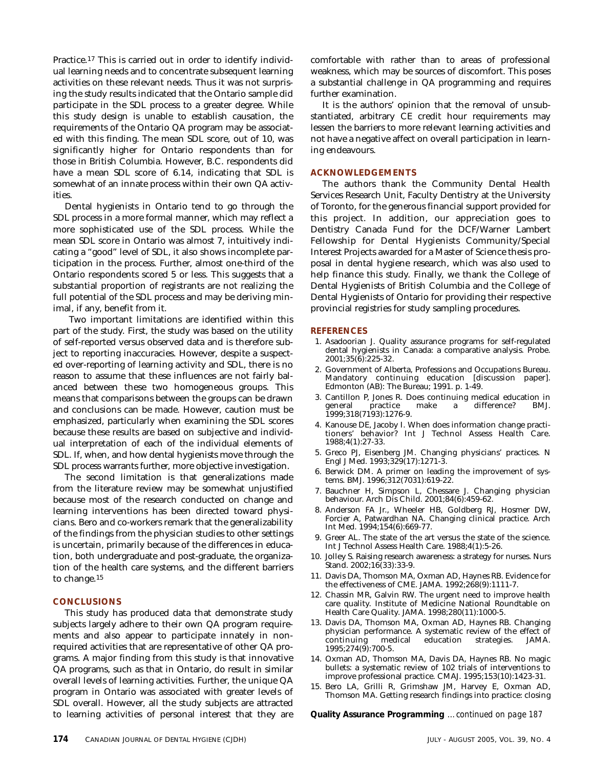Practice.17 This is carried out in order to identify individual learning needs and to concentrate subsequent learning activities on these relevant needs. Thus it was not surprising the study results indicated that the Ontario sample did participate in the SDL process to a greater degree. While this study design is unable to establish causation, the requirements of the Ontario QA program may be associated with this finding. The mean SDL score, out of 10, was significantly higher for Ontario respondents than for those in British Columbia. However, B.C. respondents did have a mean SDL score of 6.14, indicating that SDL is somewhat of an innate process within their own QA activities.

Dental hygienists in Ontario tend to go through the SDL process in a more formal manner, which may reflect a more sophisticated use of the SDL process. While the mean SDL score in Ontario was almost 7, intuitively indicating a "good" level of SDL, it also shows incomplete participation in the process. Further, almost one-third of the Ontario respondents scored 5 or less. This suggests that a substantial proportion of registrants are not realizing the full potential of the SDL process and may be deriving minimal, if any, benefit from it.

Two important limitations are identified within this part of the study. First, the study was based on the utility of self-reported versus observed data and is therefore subject to reporting inaccuracies. However, despite a suspected over-reporting of learning activity and SDL, there is no reason to assume that these influences are not fairly balanced between these two homogeneous groups. This means that comparisons between the groups can be drawn and conclusions can be made. However, caution must be emphasized, particularly when examining the SDL scores because these results are based on subjective and individual interpretation of each of the individual elements of SDL. If, when, and how dental hygienists move through the SDL process warrants further, more objective investigation.

The second limitation is that generalizations made from the literature review may be somewhat unjustified because most of the research conducted on change and learning interventions has been directed toward physicians. Bero and co-workers remark that the generalizability of the findings from the physician studies to other settings is uncertain, primarily because of the differences in education, both undergraduate and post-graduate, the organization of the health care systems, and the different barriers to change.15

### **CONCLUSIONS**

This study has produced data that demonstrate study subjects largely adhere to their own QA program requirements and also appear to participate innately in nonrequired activities that are representative of other QA programs. A major finding from this study is that innovative QA programs, such as that in Ontario, do result in similar overall levels of learning activities. Further, the unique QA program in Ontario was associated with greater levels of SDL overall. However, all the study subjects are attracted to learning activities of personal interest that they are

comfortable with rather than to areas of professional weakness, which may be sources of discomfort. This poses a substantial challenge in QA programming and requires further examination.

It is the authors' opinion that the removal of unsubstantiated, arbitrary CE credit hour requirements may lessen the barriers to more relevant learning activities and not have a negative affect on overall participation in learning endeavours.

### **ACKNOWLEDGEMENTS**

The authors thank the Community Dental Health Services Research Unit, Faculty Dentistry at the University of Toronto, for the generous financial support provided for this project. In addition, our appreciation goes to Dentistry Canada Fund for the DCF/Warner Lambert Fellowship for Dental Hygienists Community/Special Interest Projects awarded for a Master of Science thesis proposal in dental hygiene research, which was also used to help finance this study. Finally, we thank the College of Dental Hygienists of British Columbia and the College of Dental Hygienists of Ontario for providing their respective provincial registries for study sampling procedures.

#### **REFERENCES**

- 1. Asadoorian J. Quality assurance programs for self-regulated dental hygienists in Canada: a comparative analysis*.* Probe. 2001;35(6):225-32.
- 2. Government of Alberta, Professions and Occupations Bureau. Mandatory continuing education [discussion paper]. Edmonton (AB): The Bureau; 1991. p. 1-49.
- 3. Cantillon P, Jones R. Does continuing medical education in practice make a difference? BMJ. 1999;318(7193):1276-9.
- 4. Kanouse DE, Jacoby I. When does information change practitioners' behavior? Int J Technol Assess Health Care. 1988;4(1):27-33.
- 5. Greco PJ, Eisenberg JM. Changing physicians' practices. N Engl J Med. 1993;329(17):1271-3.
- 6. Berwick DM. A primer on leading the improvement of systems. BMJ. 1996;312(7031):619-22.
- 7. Bauchner H, Simpson L, Chessare J. Changing physician behaviour. Arch Dis Child. 2001;84(6):459-62.
- 8. Anderson FA Jr., Wheeler HB, Goldberg RJ, Hosmer DW, Forcier A, Patwardhan NA. Changing clinical practice. Arch Int Med. 1994;154(6):669-77.
- 9. Greer AL. The state of the art versus the state of the science. Int J Technol Assess Health Care. 1988;4(1):5-26.
- 10. Jolley S. Raising research awareness: a strategy for nurses. Nurs Stand. 2002;16(33):33-9.
- 11. Davis DA, Thomson MA, Oxman AD, Haynes RB. Evidence for the effectiveness of CME. JAMA*.* 1992;268(9):1111-7.
- 12. Chassin MR, Galvin RW. The urgent need to improve health care quality. Institute of Medicine National Roundtable on Health Care Quality. JAMA. 1998;280(11):1000-5.
- 13. Davis DA, Thomson MA, Oxman AD, Haynes RB. Changing physician performance. A systematic review of the effect of continuing medical education strategies. JAMA. medical education strategies. JAMA. 1995;274(9):700-5.
- 14. Oxman AD, Thomson MA, Davis DA, Haynes RB. No magic bullets: a systematic review of 102 trials of interventions to improve professional practice. CMAJ. 1995;153(10):1423-31.
- 15. Bero LA, Grilli R, Grimshaw JM, Harvey E, Oxman AD, Thomson MA. Getting research findings into practice: closing

**Quality Assurance Programming** *…continued on page 187*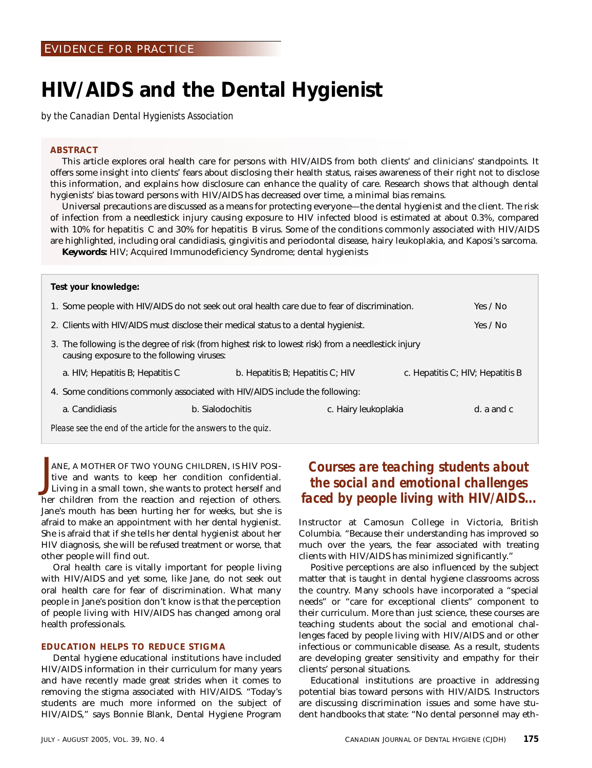## **HIV/AIDS and the Dental Hygienist**

*by the Canadian Dental Hygienists Association* 

#### **ABSTRACT**

This article explores oral health care for persons with HIV/AIDS from both clients' and clinicians' standpoints. It offers some insight into clients' fears about disclosing their health status, raises awareness of their right not to disclose this information, and explains how disclosure can enhance the quality of care. Research shows that although dental hygienists' bias toward persons with HIV/AIDS has decreased over time, a minimal bias remains.

Universal precautions are discussed as a means for protecting everyone—the dental hygienist and the client. The risk of infection from a needlestick injury causing exposure to HIV infected blood is estimated at about 0.3%, compared with 10% for hepatitis C and 30% for hepatitis B virus. Some of the conditions commonly associated with HIV/AIDS are highlighted, including oral candidiasis, gingivitis and periodontal disease, hairy leukoplakia, and Kaposi's sarcoma.

**Keywords:** HIV; Acquired Immunodeficiency Syndrome; dental hygienists

| Test your knowledge:                                                                                                                              |                  |                      |                 |  |  |
|---------------------------------------------------------------------------------------------------------------------------------------------------|------------------|----------------------|-----------------|--|--|
| 1. Some people with HIV/AIDS do not seek out oral health care due to fear of discrimination.                                                      |                  |                      | Yes / No        |  |  |
| 2. Clients with HIV/AIDS must disclose their medical status to a dental hygienist.                                                                |                  |                      | Yes / No        |  |  |
| 3. The following is the degree of risk (from highest risk to lowest risk) from a needlestick injury<br>causing exposure to the following viruses: |                  |                      |                 |  |  |
| a. HIV; Hepatitis B; Hepatitis C<br>b. Hepatitis $B$ ; Hepatitis $C$ ; HIV<br>c. Hepatitis C; HIV; Hepatitis B                                    |                  |                      |                 |  |  |
| 4. Some conditions commonly associated with HIV/AIDS include the following:                                                                       |                  |                      |                 |  |  |
| a. Candidiasis                                                                                                                                    | b. Sialodochitis | c. Hairy leukoplakia | $d. a$ and $c.$ |  |  |
| Please see the end of the article for the answers to the quiz.                                                                                    |                  |                      |                 |  |  |

ANE, A MOTHER OF TWO YOUNG CHILDREN, IS HIV POSI-<br>Living in a small town, she wants to protect herself and tive and wants to keep her condition confidential. Living in a small town, she wants to protect herself and her children from the reaction and rejection of others. Jane's mouth has been hurting her for weeks, but she is afraid to make an appointment with her dental hygienist. She is afraid that if she tells her dental hygienist about her HIV diagnosis, she will be refused treatment or worse, that other people will find out.

Oral health care is vitally important for people living with HIV/AIDS and yet some, like Jane, do not seek out oral health care for fear of discrimination. What many people in Jane's position don't know is that the perception of people living with HIV/AIDS has changed among oral health professionals.

### **EDUCATION HELPS TO REDUCE STIGMA**

Dental hygiene educational institutions have included HIV/AIDS information in their curriculum for many years and have recently made great strides when it comes to removing the stigma associated with HIV/AIDS. "Today's students are much more informed on the subject of HIV/AIDS," says Bonnie Blank, Dental Hygiene Program

### *Courses are teaching students about the social and emotional challenges faced by people living with HIV/AIDS...*

Instructor at Camosun College in Victoria, British Columbia. "Because their understanding has improved so much over the years, the fear associated with treating clients with HIV/AIDS has minimized significantly."

Positive perceptions are also influenced by the subject matter that is taught in dental hygiene classrooms across the country. Many schools have incorporated a "special needs" or "care for exceptional clients" component to their curriculum. More than just science, these courses are teaching students about the social and emotional challenges faced by people living with HIV/AIDS and or other infectious or communicable disease. As a result, students are developing greater sensitivity and empathy for their clients' personal situations.

Educational institutions are proactive in addressing potential bias toward persons with HIV/AIDS. Instructors are discussing discrimination issues and some have student handbooks that state: "No dental personnel may eth-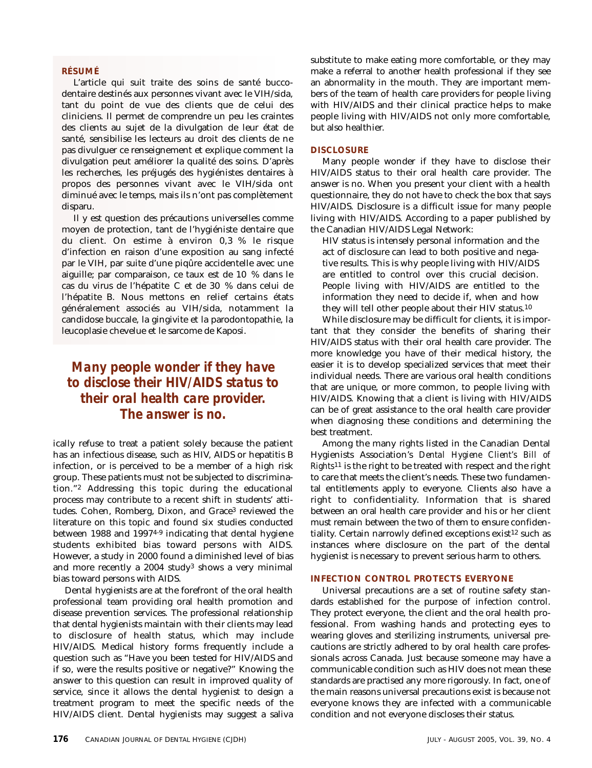### **RÉSUMÉ**

L'article qui suit traite des soins de santé buccodentaire destinés aux personnes vivant avec le VIH/sida, tant du point de vue des clients que de celui des cliniciens. Il permet de comprendre un peu les craintes des clients au sujet de la divulgation de leur état de santé, sensibilise les lecteurs au droit des clients de ne pas divulguer ce renseignement et explique comment la divulgation peut améliorer la qualité des soins. D'après les recherches, les préjugés des hygiénistes dentaires à propos des personnes vivant avec le VIH/sida ont diminué avec le temps, mais ils n'ont pas complètement disparu.

Il y est question des précautions universelles comme moyen de protection, tant de l'hygiéniste dentaire que du client. On estime à environ 0,3 % le risque d'infection en raison d'une exposition au sang infecté par le VIH, par suite d'une piqûre accidentelle avec une aiguille; par comparaison, ce taux est de 10 % dans le cas du virus de l'hépatite C et de 30 % dans celui de l'hépatite B. Nous mettons en relief certains états généralement associés au VIH/sida, notamment la candidose buccale, la gingivite et la parodontopathie, la leucoplasie chevelue et le sarcome de Kaposi.

### *Many people wonder if they have to disclose their HIV/AIDS status to their oral health care provider. The answer is no.*

ically refuse to treat a patient solely because the patient has an infectious disease, such as HIV, AIDS or hepatitis B infection, or is perceived to be a member of a high risk group. These patients must not be subjected to discrimination."2 Addressing this topic during the educational process may contribute to a recent shift in students' attitudes. Cohen, Romberg, Dixon, and Grace<sup>3</sup> reviewed the literature on this topic and found six studies conducted between 1988 and 1997<sup>4-9</sup> indicating that dental hygiene students exhibited bias toward persons with AIDS. However, a study in 2000 found a diminished level of bias and more recently a 2004 study3 shows a very minimal bias toward persons with AIDS.

Dental hygienists are at the forefront of the oral health professional team providing oral health promotion and disease prevention services. The professional relationship that dental hygienists maintain with their clients may lead to disclosure of health status, which may include HIV/AIDS. Medical history forms frequently include a question such as "Have you been tested for HIV/AIDS and if so, were the results positive or negative?" Knowing the answer to this question can result in improved quality of service, since it allows the dental hygienist to design a treatment program to meet the specific needs of the HIV/AIDS client. Dental hygienists may suggest a saliva

substitute to make eating more comfortable, or they may make a referral to another health professional if they see an abnormality in the mouth. They are important members of the team of health care providers for people living with HIV/AIDS and their clinical practice helps to make people living with HIV/AIDS not only more comfortable, but also healthier.

#### **DISCLOSURE**

Many people wonder if they have to disclose their HIV/AIDS status to their oral health care provider. The answer is no. When you present your client with a health questionnaire, they do not have to check the box that says HIV/AIDS. Disclosure is a difficult issue for many people living with HIV/AIDS. According to a paper published by the Canadian HIV/AIDS Legal Network:

HIV status is intensely personal information and the act of disclosure can lead to both positive and negative results. This is why people living with HIV/AIDS are entitled to control over this crucial decision. People living with HIV/AIDS are entitled to the information they need to decide if, when and how they will tell other people about their HIV status.10

While disclosure may be difficult for clients, it is important that they consider the benefits of sharing their HIV/AIDS status with their oral health care provider. The more knowledge you have of their medical history, the easier it is to develop specialized services that meet their individual needs. There are various oral health conditions that are unique, or more common, to people living with HIV/AIDS. Knowing that a client is living with HIV/AIDS can be of great assistance to the oral health care provider when diagnosing these conditions and determining the best treatment.

Among the many rights listed in the Canadian Dental Hygienists Association's *Dental Hygiene Client's Bill of Rights*11 is the right to be treated with respect and the right to care that meets the client's needs. These two fundamental entitlements apply to everyone. Clients also have a right to confidentiality. Information that is shared between an oral health care provider and his or her client must remain between the two of them to ensure confidentiality. Certain narrowly defined exceptions exist<sup>12</sup> such as instances where disclosure on the part of the dental hygienist is necessary to prevent serious harm to others.

### **INFECTION CONTROL PROTECTS EVERYONE**

Universal precautions are a set of routine safety standards established for the purpose of infection control. They protect everyone, the client and the oral health professional. From washing hands and protecting eyes to wearing gloves and sterilizing instruments, universal precautions are strictly adhered to by oral health care professionals across Canada. Just because someone may have a communicable condition such as HIV does not mean these standards are practised any more rigorously. In fact, one of the main reasons universal precautions exist is because not everyone knows they are infected with a communicable condition and not everyone discloses their status.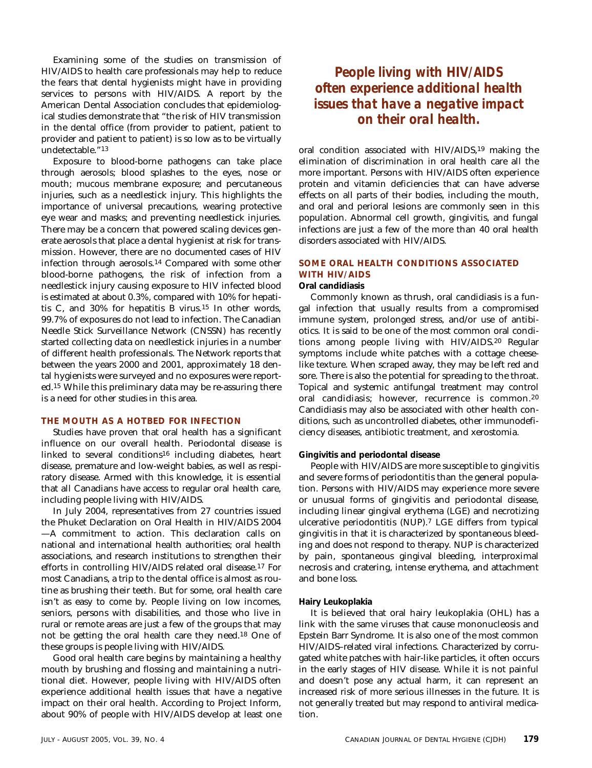Examining some of the studies on transmission of HIV/AIDS to health care professionals may help to reduce the fears that dental hygienists might have in providing services to persons with HIV/AIDS. A report by the American Dental Association concludes that epidemiological studies demonstrate that "the risk of HIV transmission in the dental office (from provider to patient, patient to provider and patient to patient) is so low as to be virtually undetectable."13

Exposure to blood-borne pathogens can take place through aerosols; blood splashes to the eyes, nose or mouth; mucous membrane exposure; and percutaneous injuries, such as a needlestick injury. This highlights the importance of universal precautions, wearing protective eye wear and masks; and preventing needlestick injuries. There may be a concern that powered scaling devices generate aerosols that place a dental hygienist at risk for transmission. However, there are no documented cases of HIV infection through aerosols.14 Compared with some other blood-borne pathogens, the risk of infection from a needlestick injury causing exposure to HIV infected blood is estimated at about 0.3%, compared with 10% for hepatitis C, and 30% for hepatitis B virus.15 In other words, 99.7% of exposures do not lead to infection. The Canadian Needle Stick Surveillance Network (CNSSN) has recently started collecting data on needlestick injuries in a number of different health professionals. The Network reports that between the years 2000 and 2001, approximately 18 dental hygienists were surveyed and no exposures were reported.15 While this preliminary data may be re-assuring there is a need for other studies in this area.

### **THE MOUTH AS A HOTBED FOR INFECTION**

Studies have proven that oral health has a significant influence on our overall health. Periodontal disease is linked to several conditions16 including diabetes, heart disease, premature and low-weight babies, as well as respiratory disease. Armed with this knowledge, it is essential that all Canadians have access to regular oral health care, including people living with HIV/AIDS.

In July 2004, representatives from 27 countries issued the Phuket Declaration on Oral Health in HIV/AIDS 2004 —A commitment to action. This declaration calls on national and international health authorities; oral health associations, and research institutions to strengthen their efforts in controlling HIV/AIDS related oral disease.17 For most Canadians, a trip to the dental office is almost as routine as brushing their teeth. But for some, oral health care isn't as easy to come by. People living on low incomes, seniors, persons with disabilities, and those who live in rural or remote areas are just a few of the groups that may not be getting the oral health care they need.18 One of these groups is people living with HIV/AIDS.

Good oral health care begins by maintaining a healthy mouth by brushing and flossing and maintaining a nutritional diet. However, people living with HIV/AIDS often experience additional health issues that have a negative impact on their oral health. According to Project Inform, about 90% of people with HIV/AIDS develop at least one

### *People living with HIV/AIDS often experience additional health issues that have a negative impact on their oral health.*

oral condition associated with HIV/AIDS,19 making the elimination of discrimination in oral health care all the more important. Persons with HIV/AIDS often experience protein and vitamin deficiencies that can have adverse effects on all parts of their bodies, including the mouth, and oral and perioral lesions are commonly seen in this population. Abnormal cell growth, gingivitis, and fungal infections are just a few of the more than 40 oral health disorders associated with HIV/AIDS.

### **SOME ORAL HEALTH CONDITIONS ASSOCIATED WITH HIV/AIDS**

### **Oral candidiasis**

Commonly known as thrush, oral candidiasis is a fungal infection that usually results from a compromised immune system, prolonged stress, and/or use of antibiotics. It is said to be one of the most common oral conditions among people living with HIV/AIDS.20 Regular symptoms include white patches with a cottage cheeselike texture. When scraped away, they may be left red and sore. There is also the potential for spreading to the throat. Topical and systemic antifungal treatment may control oral candidiasis; however, recurrence is common.20 Candidiasis may also be associated with other health conditions, such as uncontrolled diabetes, other immunodeficiency diseases, antibiotic treatment, and xerostomia.

#### **Gingivitis and periodontal disease**

People with HIV/AIDS are more susceptible to gingivitis and severe forms of periodontitis than the general population. Persons with HIV/AIDS may experience more severe or unusual forms of gingivitis and periodontal disease, including linear gingival erythema (LGE) and necrotizing ulcerative periodontitis (NUP).7 LGE differs from typical gingivitis in that it is characterized by spontaneous bleeding and does not respond to therapy. NUP is characterized by pain, spontaneous gingival bleeding, interproximal necrosis and cratering, intense erythema, and attachment and bone loss.

#### **Hairy Leukoplakia**

It is believed that oral hairy leukoplakia (OHL) has a link with the same viruses that cause mononucleosis and Epstein Barr Syndrome. It is also one of the most common HIV/AIDS–related viral infections. Characterized by corrugated white patches with hair-like particles, it often occurs in the early stages of HIV disease. While it is not painful and doesn't pose any actual harm, it can represent an increased risk of more serious illnesses in the future. It is not generally treated but may respond to antiviral medication.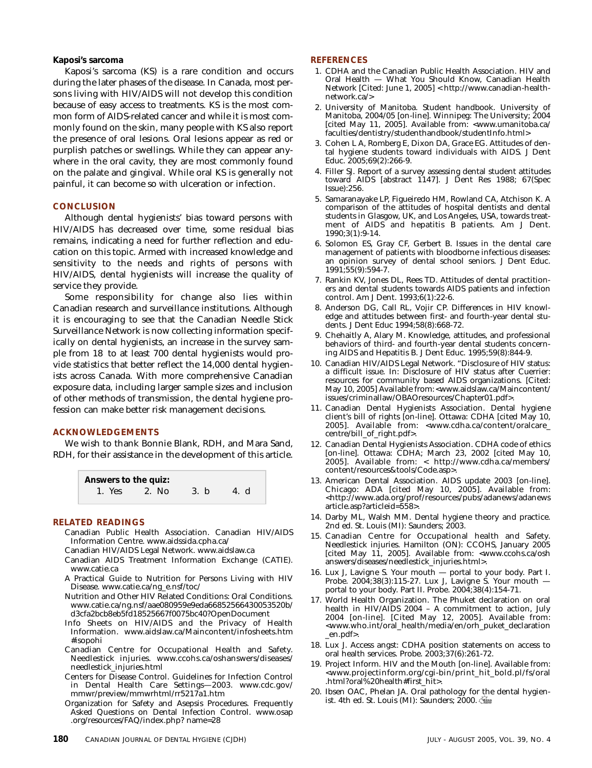### **Kaposi's sarcoma**

Kaposi's sarcoma (KS) is a rare condition and occurs during the later phases of the disease. In Canada, most persons living with HIV/AIDS will not develop this condition because of easy access to treatments. KS is the most common form of AIDS-related cancer and while it is most commonly found on the skin, many people with KS also report the presence of oral lesions. Oral lesions appear as red or purplish patches or swellings. While they can appear anywhere in the oral cavity, they are most commonly found on the palate and gingival. While oral KS is generally not painful, it can become so with ulceration or infection.

#### **CONCLUSION**

Although dental hygienists' bias toward persons with HIV/AIDS has decreased over time, some residual bias remains, indicating a need for further reflection and education on this topic. Armed with increased knowledge and sensitivity to the needs and rights of persons with HIV/AIDS, dental hygienists will increase the quality of service they provide.

Some responsibility for change also lies within Canadian research and surveillance institutions. Although it is encouraging to see that the Canadian Needle Stick Surveillance Network is now collecting information specifically on dental hygienists, an increase in the survey sample from 18 to at least 700 dental hygienists would provide statistics that better reflect the 14,000 dental hygienists across Canada. With more comprehensive Canadian exposure data, including larger sample sizes and inclusion of other methods of transmission, the dental hygiene profession can make better risk management decisions.

### **ACKNOWLEDGEMENTS**

We wish to thank Bonnie Blank, RDH, and Mara Sand, RDH, for their assistance in the development of this article.



### **RELATED READINGS**

- Canadian Public Health Association. Canadian HIV/AIDS Information Centre. www.aidssida.cpha.ca/
- Canadian HIV/AIDS Legal Network. www.aidslaw.ca
- Canadian AIDS Treatment Information Exchange (CATIE). www.catie.ca
- A Practical Guide to Nutrition for Persons Living with HIV Disease. www.catie.ca/ng\_e.nsf/toc/
- Nutrition and Other HIV Related Conditions: Oral Conditions. www.catie.ca/ng.nsf/aae080959e9eda66852566430053520b/ d3cfa2bcb8eb5fd18525667f0075bc40?OpenDocument
- Info Sheets on HIV/AIDS and the Privacy of Health Information. www.aidslaw.ca/Maincontent/infosheets.htm #isopohi
- Canadian Centre for Occupational Health and Safety. Needlestick injuries. www.ccohs.ca/oshanswers/diseases/ needlestick\_injuries.html
- Centers for Disease Control. Guidelines for Infection Control in Dental Health Care Settings—2003. www.cdc.gov/ mmwr/preview/mmwrhtml/rr5217a1.htm
- Organization for Safety and Asepsis Procedures. Frequently Asked Questions on Dental Infection Control. www.osap .org/resources/FAQ/index.php? name=28

### **REFERENCES**

- 1. CDHA and the Canadian Public Health Association. HIV and Oral Health — What You Should Know, Canadian Health Network [Cited: June 1, 2005] < http://www.canadian-healthnetwork.ca/>
- 2. University of Manitoba. Student handbook. University of Manitoba, 2004/05 [on-line]. Winnipeg: The University; 2004 [cited May 11, 2005]. Available from: <www.umanitoba.ca/ faculties/dentistry/studenthandbook/studentInfo.html>
- 3. Cohen L A, Romberg E, Dixon DA, Grace EG. Attitudes of dental hygiene students toward individuals with AIDS. J Dent Educ. 2005;69(2):266-9.
- 4. Filler SJ. Report of a survey assessing dental student attitudes toward AIDS [abstract 1147]. J Dent Res 1988; 67(Spec Issue):256.
- 5. Samaranayake LP, Figueiredo HM, Rowland CA, Atchison K. A comparison of the attitudes of hospital dentists and dental students in Glasgow, UK, and Los Angeles, USA, towards treatment of AIDS and hepatitis B patients. Am J Dent. 1990;3(1):9-14.
- 6. Solomon ES, Gray CF, Gerbert B. Issues in the dental care management of patients with bloodborne infectious diseases: an opinion survey of dental school seniors. J Dent Educ. 1991;55(9):594-7.
- 7. Rankin KV, Jones DL, Rees TD. Attitudes of dental practitioners and dental students towards AIDS patients and infection control. Am J Dent. 1993;6(1):22-6.
- 8. Anderson DG, Call RL, Vojir CP. Differences in HIV knowledge and attitudes between first- and fourth-year dental students. J Dent Educ 1994;58(8):668-72.
- 9. Chehaitly A, Alary M. Knowledge, attitudes, and professional behaviors of third- and fourth-year dental students concerning AIDS and Hepatitis B. J Dent Educ. 1995;59(8):844-9.
- 10. Canadian HIV/AIDS Legal Network. "Disclosure of HIV status: a difficult issue. In: Disclosure of HIV status after Cuerrier: resources for community based AIDS organizations. [Cited: May 10, 2005] Available from:<www.aidslaw.ca/Maincontent/ issues/criminallaw/OBAOresources/Chapter01.pdf>.
- 11. Canadian Dental Hygienists Association. Dental hygiene client's bill of rights [on-line]. Ottawa: CDHA [cited May 10, 2005]. Available from: <www.cdha.ca/content/oralcare\_ centre/bill\_of\_right.pdf>.
- 12. Canadian Dental Hygienists Association. CDHA code of ethics [on-line]. Ottawa: CDHA; March 23, 2002 [cited May 10, 2005]. Available from: < http://www.cdha.ca/members/ content/resources&tools/Code.asp>.
- 13. American Dental Association. AIDS update 2003 [on-line]. Chicago: ADA [cited May 10, 2005]. Available from: <http://www.ada.org/prof/resources/pubs/adanews/adanews article.asp?articleid=558>.
- 14. Darby ML, Walsh MM. Dental hygiene theory and practice. 2nd ed. St. Louis (MI): Saunders; 2003.
- 15. Canadian Centre for Occupational health and Safety. Needlestick injuries. Hamilton (ON): CCOHS, January 2005 [cited May 11, 2005]. Available from: <www.ccohs.ca/osh answers/diseases/needlestick\_injuries.html>.
- 16. Lux J, Lavigne S. Your mouth portal to your body. Part I. Probe. 2004;38(3):115-27. Lux J, Lavigne S. Your mouth portal to your body. Part II. Probe. 2004;38(4):154-71.
- 17. World Health Organization. The Phuket declaration on oral health in HIV/AIDS 2004 – A commitment to action, July 2004 [on-line]. [Cited May 12, 2005]. Available from: <www.who.int/oral\_health/media/en/orh\_puket\_declaration \_en.pdf>.
- 18. Lux J. Access angst: CDHA position statements on access to oral health services. Probe. 2003;37(6):261-72.
- 19. Project Inform. HIV and the Mouth [on-line]. Available from: <www.projectinform.org/cgi-bin/print\_hit\_bold.pl/fs/oral .html?oral%20health#first\_hit>.
- 20. Ibsen OAC, Phelan JA. Oral pathology for the dental hygienist. 4th ed. St. Louis (MI): Saunders; 2000.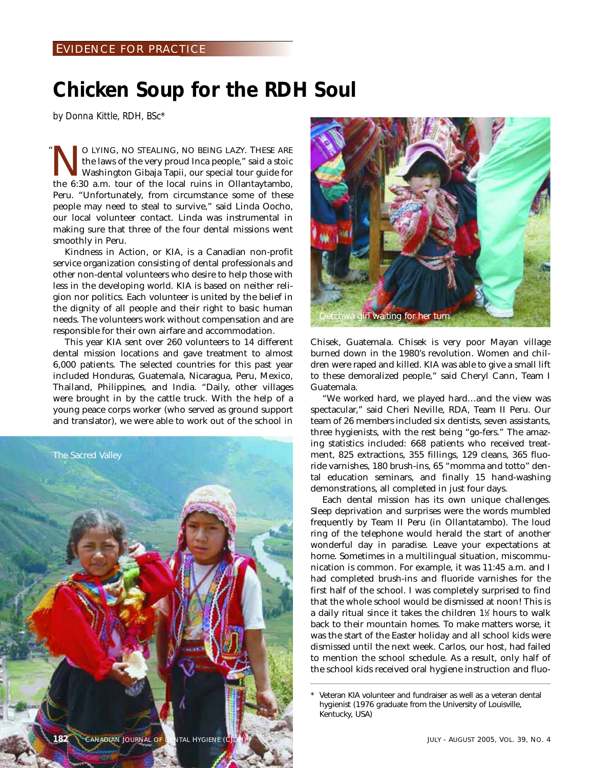## **Chicken Soup for the RDH Soul**

*by Donna Kittle, RDH, BSc\**

O LYING, NO STEALING, NO BEING LAZY. THESE ARE<br>the laws of the very proud Inca people," said a stoic<br>Washington Gibaja Tapii, our special tour guide for<br>the 6:30 a m tour of the local ruins in Ollantavtambo the laws of the very proud Inca people," said a stoic Washington Gibaja Tapii, our special tour guide for the 6:30 a.m. tour of the local ruins in Ollantaytambo, Peru. "Unfortunately, from circumstance some of these people may need to steal to survive," said Linda Oocho, our local volunteer contact. Linda was instrumental in making sure that three of the four dental missions went smoothly in Peru. "

Kindness in Action, or KIA, is a Canadian non-profit service organization consisting of dental professionals and other non-dental volunteers who desire to help those with less in the developing world. KIA is based on neither religion nor politics. Each volunteer is united by the belief in the dignity of all people and their right to basic human needs. The volunteers work without compensation and are responsible for their own airfare and accommodation.

This year KIA sent over 260 volunteers to 14 different dental mission locations and gave treatment to almost 6,000 patients. The selected countries for this past year included Honduras, Guatemala, Nicaragua, Peru, Mexico, Thailand, Philippines, and India. "Daily, other villages were brought in by the cattle truck. With the help of a young peace corps worker (who served as ground support and translator), we were able to work out of the school in





Chisek, Guatemala. Chisek is very poor Mayan village burned down in the 1980's revolution. Women and children were raped and killed. KIA was able to give a small lift to these demoralized people," said Cheryl Cann, Team I Guatemala.

"We worked hard, we played hard…and the view was spectacular," said Cheri Neville, RDA, Team II Peru. Our team of 26 members included six dentists, seven assistants, three hygienists, with the rest being "go-fers." The amazing statistics included: 668 patients who received treatment, 825 extractions, 355 fillings, 129 cleans, 365 fluoride varnishes, 180 brush-ins, 65 "momma and totto" dental education seminars, and finally 15 hand-washing demonstrations, all completed in just four days.

Each dental mission has its own unique challenges. Sleep deprivation and surprises were the words mumbled frequently by Team II Peru (in Ollantatambo). The loud ring of the telephone would herald the start of another wonderful day in paradise. Leave your expectations at home. Sometimes in a multilingual situation, miscommunication is common. For example, it was 11:45 a.m. and I had completed brush-ins and fluoride varnishes for the first half of the school. I was completely surprised to find that the whole school would be dismissed at noon! This is a daily ritual since it takes the children 1½ hours to walk back to their mountain homes. To make matters worse, it was the start of the Easter holiday and all school kids were dismissed until the next week. Carlos, our host, had failed to mention the school schedule. As a result, only half of the school kids received oral hygiene instruction and fluo-

Veteran KIA volunteer and fundraiser as well as a veteran dental hygienist (1976 graduate from the University of Louisville, Kentucky, USA)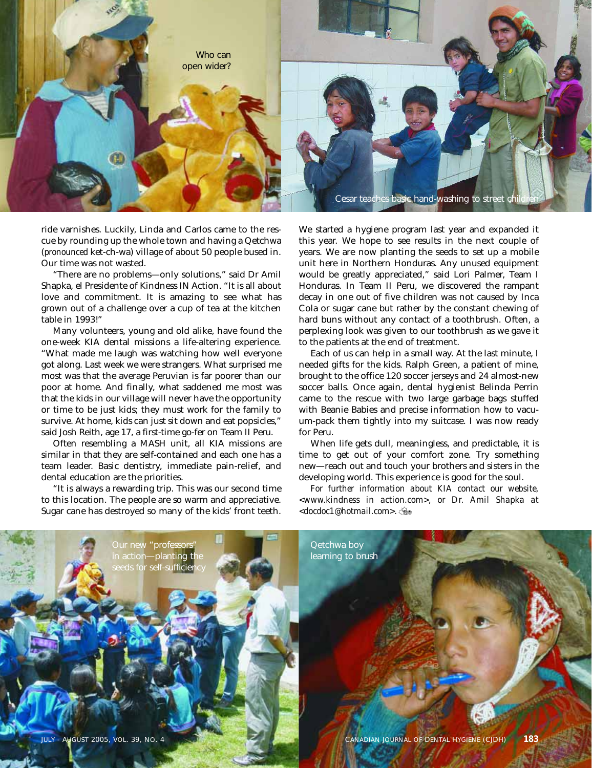

ride varnishes. Luckily, Linda and Carlos came to the rescue by rounding up the whole town and having a Qetchwa (*pronounced* ket-ch-wa) village of about 50 people bused in. Our time was not wasted.

"There are no problems—only solutions," said Dr Amil Shapka, el Presidente of Kindness IN Action. "It is all about love and commitment. It is amazing to see what has grown out of a challenge over a cup of tea at the kitchen table in 1993!"

Many volunteers, young and old alike, have found the one-week KIA dental missions a life-altering experience. "What made me laugh was watching how well everyone got along. Last week we were strangers. What surprised me most was that the average Peruvian is far poorer than our poor at home. And finally, what saddened me most was that the kids in our village will never have the opportunity or time to be just kids; they must work for the family to survive. At home, kids can just sit down and eat popsicles," said Josh Reith, age 17, a first-time go-fer on Team II Peru.

Often resembling a MASH unit, all KIA missions are similar in that they are self-contained and each one has a team leader. Basic dentistry, immediate pain-relief, and dental education are the priorities.

"It is always a rewarding trip. This was our second time to this location. The people are so warm and appreciative. Sugar cane has destroyed so many of the kids' front teeth.

We started a hygiene program last year and expanded it this year. We hope to see results in the next couple of years. We are now planting the seeds to set up a mobile unit here in Northern Honduras. Any unused equipment would be greatly appreciated," said Lori Palmer, Team I Honduras. In Team II Peru, we discovered the rampant decay in one out of five children was not caused by Inca Cola or sugar cane but rather by the constant chewing of hard buns without any contact of a toothbrush. Often, a perplexing look was given to our toothbrush as we gave it to the patients at the end of treatment.

Each of us can help in a small way. At the last minute, I needed gifts for the kids. Ralph Green, a patient of mine, brought to the office 120 soccer jerseys and 24 almost-new soccer balls. Once again, dental hygienist Belinda Perrin came to the rescue with two large garbage bags stuffed with Beanie Babies and precise information how to vacuum-pack them tightly into my suitcase. I was now ready for Peru.

When life gets dull, meaningless, and predictable, it is time to get out of your comfort zone. Try something new—reach out and touch your brothers and sisters in the developing world. This experience is good for the soul.

*For further information about KIA contact our website, <www.kindness in action.com>, or Dr. Amil Shapka at <docdoc1@hotmail.com>.*

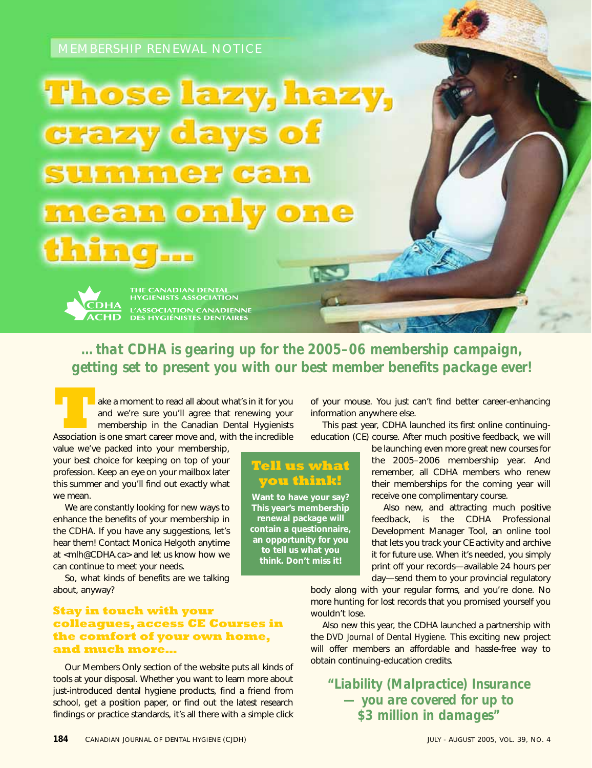# **Those lazy, hazy,** crazy days of summer can mean only one thing...

THE CANADIAN DENTA<mark>L</mark><br>HYGIENISTS ASSOCIATION **L'ASSOCIATION CANADIENNE<br>DES HYGIÉNISTES DENTAIRES** 

*…that CDHA is gearing up for the 2005–06 membership campaign, getting set to present you with our best member benefits package ever!*

Take a moment to read all about what's in it for you<br>
and we're sure you'll agree that renewing your<br>
membership in the Canadian Dental Hygienists<br>
Association is one smart career move and, with the incredible and we're sure you'll agree that renewing your membership in the Canadian Dental Hygienists

value we've packed into your membership, your best choice for keeping on top of your profession. Keep an eye on your mailbox later this summer and you'll find out exactly what we mean.

We are constantly looking for new ways to enhance the benefits of your membership in the CDHA. If you have any suggestions, let's hear them! Contact Monica Helgoth anytime at <mlh@CDHA.ca> and let us know how we can continue to meet your needs.

So, what kinds of benefits are we talking about, anyway?

### **Stay in touch with your colleagues, access CE Courses in the comfort of your own home, and much more…**

Our Members Only section of the website puts all kinds of tools at your disposal. Whether you want to learn more about just-introduced dental hygiene products, find a friend from school, get a position paper, or find out the latest research findings or practice standards, it's all there with a simple click

of your mouse. You just can't find better career-enhancing information anywhere else.

This past year, CDHA launched its first online continuingeducation (CE) course. After much positive feedback, we will

### **Tell us what you think!**

**Want to have your say? This year's membership renewal package will contain a questionnaire, an opportunity for you to tell us what you think. Don't miss it!**

be launching even more great new courses for the 2005–2006 membership year. And remember, all CDHA members who renew their memberships for the coming year will receive one complimentary course.

Also new, and attracting much positive feedback, is the CDHA Professional Development Manager Tool, an online tool that lets you track your CE activity and archive it for future use. When it's needed, you simply print off your records—available 24 hours per day—send them to your provincial regulatory

body along with your regular forms, and you're done. No more hunting for lost records that you promised yourself you wouldn't lose.

Also new this year, the CDHA launched a partnership with the *DVD Journal of Dental Hygiene.* This exciting new project will offer members an affordable and hassle-free way to obtain continuing-education credits.

*"Liability (Malpractice) Insurance — you are covered for up to \$3 million in damages"*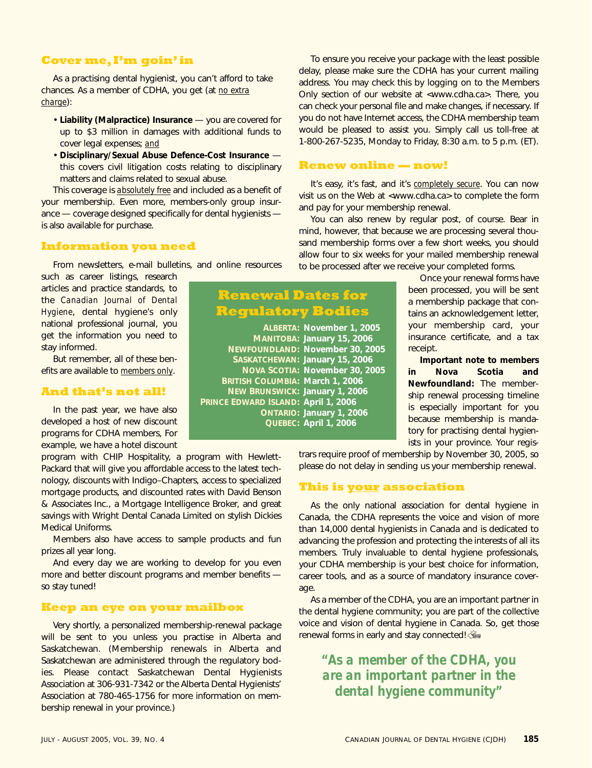### **Cover me, I'm goin' in**

As a practising dental hygienist, you can't afford to take chances. As a member of CDHA, you get (at *no extra charge*):

- **Liability (Malpractice) Insurance** you are covered for up to \$3 million in damages with additional funds to cover legal expenses; *and*
- **Disciplinary/Sexual Abuse Defence-Cost Insurance** this covers civil litigation costs relating to disciplinary matters and claims related to sexual abuse.

This coverage is *absolutely free* and included as a benefit of your membership. Even more, members-only group insurance — coverage designed specifically for dental hygienists is also available for purchase.

### **Information you need**

From newsletters, e-mail bulletins, and online resources

such as career listings, research articles and practice standards, to the *Canadian Journal of Dental Hygiene*, dental hygiene's only national professional journal, you get the information you need to stay informed.

But remember, all of these benefits are available to *members only*.

### **And that's not all!**

In the past year, we have also developed a host of new discount programs for CDHA members, For example, we have a hotel discount

program with CHIP Hospitality, a program with Hewlett-Packard that will give you affordable access to the latest technology, discounts with Indigo–Chapters, access to specialized mortgage products, and discounted rates with David Benson & Associates Inc., a Mortgage Intelligence Broker, and great savings with Wright Dental Canada Limited on stylish Dickies Medical Uniforms.

Members also have access to sample products and fun prizes all year long.

And every day we are working to develop for you even more and better discount programs and member benefits so stay tuned!

### **Keep an eye on your mailbox**

Very shortly, a personalized membership-renewal package will be sent to you unless you practise in Alberta and Saskatchewan. (Membership renewals in Alberta and Saskatchewan are administered through the regulatory bodies. Please contact Saskatchewan Dental Hygienists Association at 306-931-7342 or the Alberta Dental Hygienists' Association at 780-465-1756 for more information on membership renewal in your province.)

To ensure you receive your package with the least possible delay, please make sure the CDHA has your current mailing address. You may check this by logging on to the Members Only section of our website at <www.cdha.ca>. There, you can check your personal file and make changes, if necessary. If you do not have Internet access, the CDHA membership team would be pleased to assist you. Simply call us toll-free at 1-800-267-5235, Monday to Friday, 8:30 a.m. to 5 p.m. (ET).

### **Renew online — now!**

It's easy, it's fast, and it's *completely secure*. You can now visit us on the Web at <www.cdha.ca> to complete the form and pay for your membership renewal.

You can also renew by regular post, of course. Bear in mind, however, that because we are processing several thousand membership forms over a few short weeks, you should allow four to six weeks for your mailed membership renewal to be processed after we receive your completed forms.

### **Renewal Dates for Regulatory Bodies**

|                                        | ALBERTA: November 1, 2005       |
|----------------------------------------|---------------------------------|
|                                        | MANITOBA: January 15, 2006      |
|                                        | NEWFOUNDLAND: November 30, 2005 |
|                                        | SASKATCHEWAN: January 15, 2006  |
|                                        | NOVA SCOTIA: November 30, 2005  |
| <b>BRITISH COLUMBIA: March 1, 2006</b> |                                 |
| NEW BRUNSWICK: January 1, 2006         |                                 |
| PRINCE EDWARD ISLAND: April 1, 2006    |                                 |
|                                        | <b>ONTARIO: January 1, 2006</b> |
|                                        | QUEBEC: April 1, 2006           |
|                                        |                                 |

Once your renewal forms have been processed, you will be sent a membership package that contains an acknowledgement letter, your membership card, your insurance certificate, and a tax receipt.

**Important note to members in Nova Scotia and Newfoundland:** The membership renewal processing timeline is especially important for you because membership is mandatory for practising dental hygienists in your province. Your regis-

trars require proof of membership by November 30, 2005, so please do not delay in sending us your membership renewal.

### **This is your association**

As the only national association for dental hygiene in Canada, the CDHA represents the voice and vision of more than 14,000 dental hygienists in Canada and is dedicated to advancing the profession and protecting the interests of all its members. Truly invaluable to dental hygiene professionals, your CDHA membership is your best choice for information, career tools, and as a source of mandatory insurance coverage.

As a member of the CDHA, you are an important partner in the dental hygiene community; you are part of the collective voice and vision of dental hygiene in Canada. So, get those renewal forms in early and stay connected!

*"As a member of the CDHA, you are an important partner in the dental hygiene community"*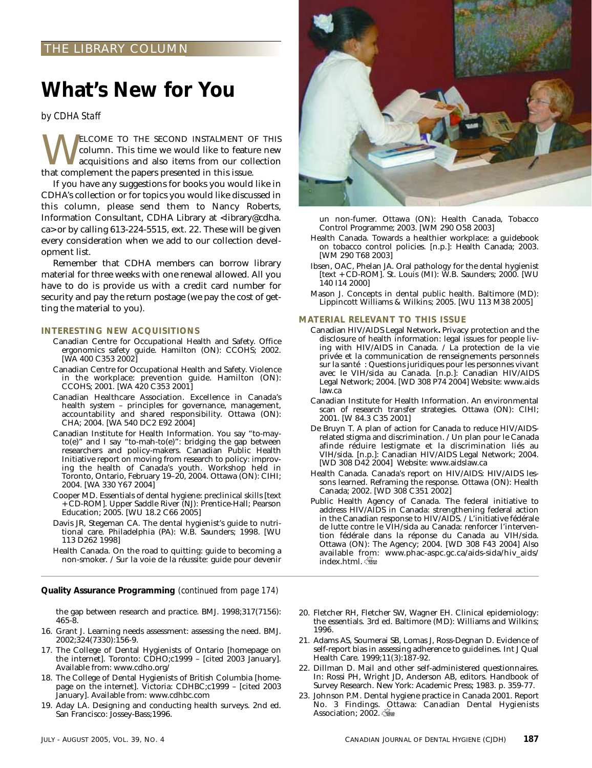### THE LIBRARY COLUMN

## **What's New for You**

*by CDHA Staff*

WELCOME TO THE SECOND INSTALMENT OF THIS column. This time we would like to feature new acquisitions and also items from our collection that complement the papers presented in this issue column. This time we would like to feature new acquisitions and also items from our collection that complement the papers presented in this issue.

If you have any suggestions for books you would like in CDHA's collection or for topics you would like discussed in this column, please send them to Nancy Roberts, Information Consultant, CDHA Library at <library@cdha. ca> or by calling 613-224-5515, ext. 22. These will be given every consideration when we add to our collection development list.

Remember that CDHA members can borrow library material for three weeks with one renewal allowed. All you have to do is provide us with a credit card number for security and pay the return postage (we pay the cost of getting the material to you).

#### **INTERESTING NEW ACQUISITIONS**

- Canadian Centre for Occupational Health and Safety. Office ergonomics safety guide. Hamilton (ON): CCOHS; 2002. [WA 400 C353 2002]
- Canadian Centre for Occupational Health and Safety. Violence in the workplace: prevention guide. Hamilton (ON): CCOHS; 2001. [WA 420 C353 2001]
- Canadian Healthcare Association. Excellence in Canada's health system – principles for governance, management, accountability and shared responsibility. Ottawa (ON): CHA; 2004. [WA 540 DC2 E92 2004]
- Canadian Institute for Health Information. You say "to-mayto(e)" and I say "to-mah-to(e)": bridging the gap between researchers and policy-makers. Canadian Public Health Initiative report on moving from research to policy: improving the health of Canada's youth. Workshop held in Toronto, Ontario, February 19–20, 2004. Ottawa (ON): CIHI; 2004. [WA 330 Y67 2004]
- Cooper MD. Essentials of dental hygiene: preclinical skills [text + CD-ROM]. Upper Saddle River (NJ): Prentice-Hall; Pearson Education; 2005. [WU 18.2 C66 2005]
- Davis JR, Stegeman CA. The dental hygienist's guide to nutritional care. Philadelphia (PA): W.B. Saunders; 1998. [WU 113 D262 1998]
- Health Canada. On the road to quitting: guide to becoming a non-smoker. / Sur la voie de la réussite: guide pour devenir

**Quality Assurance Programming** *(continued from page 174)*

the gap between research and practice. BMJ. 1998;317(7156): 465-8.

- 16. Grant J. Learning needs assessment: assessing the need. BMJ. 2002;324(7330):156-9.
- 17. The College of Dental Hygienists of Ontario [homepage on the internet]. Toronto: CDHO;c1999 – [cited 2003 January]. Available from: www.cdho.org/
- 18. The College of Dental Hygienists of British Columbia [homepage on the internet]. Victoria: CDHBC;c1999 – [cited 2003 January]. Available from: www.cdhbc.com
- 19. Aday LA. Designing and conducting health surveys. 2nd ed. San Francisco: Jossey-Bass;1996.



un non-fumer. Ottawa (ON): Health Canada, Tobacco Control Programme; 2003. [WM 290 O58 2003]

- Health Canada. Towards a healthier workplace: a guidebook on tobacco control policies. [n.p.]: Health Canada; 2003. [WM 290 T68 2003]
- Ibsen, OAC, Phelan JA. Oral pathology for the dental hygienist [text + CD-ROM]. St. Louis (MI): W.B. Saunders; 2000. [WU 140 I14 2000]
- Mason J. Concepts in dental public health. Baltimore (MD): Lippincott Williams & Wilkins; 2005. [WU 113 M38 2005]

#### **MATERIAL RELEVANT TO THIS ISSUE**

- Canadian HIV/AIDS Legal Network**.** Privacy protection and the disclosure of health information: legal issues for people living with HIV/AIDS in Canada. / La protection de la vie privée et la communication de renseignements personnels sur la santé : Questions juridiques pour les personnes vivant avec le VIH/sida au Canada. [n.p.]: Canadian HIV/AIDS Legal Network; 2004. [WD 308 P74 2004] Website: www.aids law.ca
- Canadian Institute for Health Information. An environmental scan of research transfer strategies. Ottawa (ON): CIHI; 2001. [W 84.3 C35 2001]
- De Bruyn T. A plan of action for Canada to reduce HIV/AIDSrelated stigma and discrimination. / Un plan pour le Canada afinde réduire lestigmate et la discrimination liés au VIH/sida. [n.p.]: Canadian HIV/AIDS Legal Network; 2004. [WD 308 D42 2004] Website: www.aidslaw.ca
- Health Canada. Canada's report on HIV/AIDS: HIV/AIDS lessons learned. Reframing the response. Ottawa (ON): Health Canada; 2002. [WD 308 C351 2002]
- Public Health Agency of Canada. The federal initiative to address HIV/AIDS in Canada: strengthening federal action in the Canadian response to HIV/AIDS. / L'initiative fédérale de lutte contre le VIH/sida au Canada: renforcer l'intervention fédérale dans la réponse du Canada au VIH/sida. Ottawa (ON): The Agency; 2004. [WD 308 F43 2004] Also available from: www.phac-aspc.gc.ca/aids-sida/hiv\_aids/ index.html.
- 20. Fletcher RH, Fletcher SW, Wagner EH. Clinical epidemiology: the essentials. 3rd ed. Baltimore (MD): Williams and Wilkins; 1996.
- 21. Adams AS, Soumerai SB, Lomas J, Ross-Degnan D. Evidence of self-report bias in assessing adherence to guidelines. Int J Qual Health Care. 1999;11(3):187-92.
- 22. Dillman D. Mail and other self-administered questionnaires. In: Rossi PH, Wright JD, Anderson AB, editors. Handbook of Survey Research. New York: Academic Press; 1983. p. 359-77.
- 23. Johnson P.M. Dental hygiene practice in Canada 2001. Report No. 3 Findings. Ottawa: Canadian Dental Hygienists Association; 2002.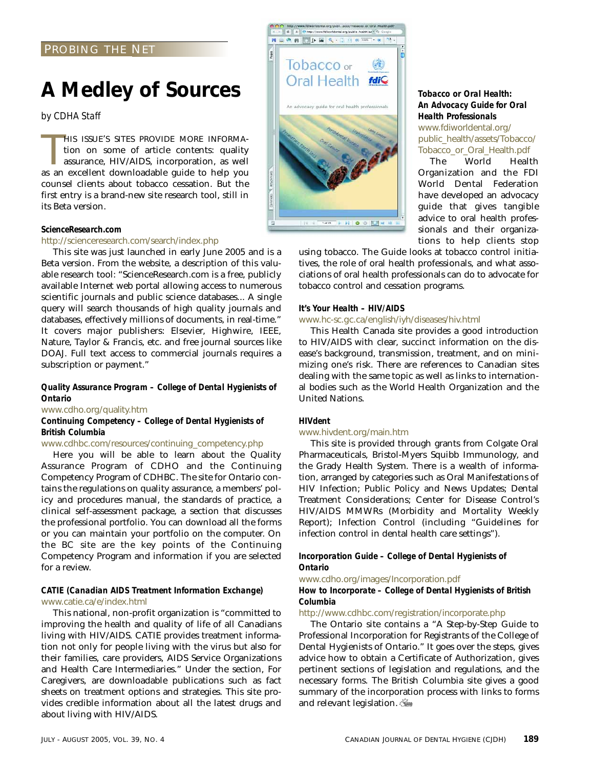### PROBING THE NET

## **A Medley of Sources**

*by CDHA Staff*

HIS ISSUE'S SITES PROVIDE MORE INFORMA-<br>tion on some of article contents: quality<br>assurance, HIV/AIDS, incorporation, as well<br>as an excellent downloadable guide to help you HIS ISSUE'S SITES PROVIDE MORE INFORMAtion on some of article contents: quality assurance, HIV/AIDS, incorporation, as well counsel clients about tobacco cessation. But the first entry is a brand-new site research tool, still in its Beta version.

### *ScienceResearch.com*

### http://scienceresearch.com/search/index.php

This site was just launched in early June 2005 and is a Beta version. From the website, a description of this valuable research tool: "ScienceResearch.com is a free, publicly available Internet web portal allowing access to numerous scientific journals and public science databases... A single query will search thousands of high quality journals and databases, effectively millions of documents, in real-time." It covers major publishers: Elsevier, Highwire, IEEE, Nature, Taylor & Francis, etc. and free journal sources like DOAJ. Full text access to commercial journals requires a subscription or payment."

### *Quality Assurance Program – College of Dental Hygienists of Ontario*

### www.cdho.org/quality.htm

### *Continuing Competency – College of Dental Hygienists of British Columbia*

### www.cdhbc.com/resources/continuing\_competency.php

Here you will be able to learn about the Quality Assurance Program of CDHO and the Continuing Competency Program of CDHBC. The site for Ontario contains the regulations on quality assurance, a members' policy and procedures manual, the standards of practice, a clinical self-assessment package, a section that discusses the professional portfolio. You can download all the forms or you can maintain your portfolio on the computer. On the BC site are the key points of the Continuing Competency Program and information if you are selected for a review.

### *CATIE (Canadian AIDS Treatment Information Exchange)* www.catie.ca/e/index.html

This national, non-profit organization is "committed to improving the health and quality of life of all Canadians living with HIV/AIDS. CATIE provides treatment information not only for people living with the virus but also for their families, care providers, AIDS Service Organizations and Health Care Intermediaries." Under the section, For Caregivers, are downloadable publications such as fact sheets on treatment options and strategies. This site provides credible information about all the latest drugs and about living with HIV/AIDS.



### *Tobacco or Oral Health: An Advocacy Guide for Oral Health Professionals*

www.fdiworldental.org/ public\_health/assets/Tobacco/ Tobacco\_or\_Oral\_Health.pdf

The World Health Organization and the FDI World Dental Federation have developed an advocacy guide that gives tangible advice to oral health professionals and their organizations to help clients stop

using tobacco. The Guide looks at tobacco control initiatives, the role of oral health professionals, and what associations of oral health professionals can do to advocate for tobacco control and cessation programs.

### *It's Your Health – HIV/AIDS*

### www.hc-sc.gc.ca/english/iyh/diseases/hiv.html

This Health Canada site provides a good introduction to HIV/AIDS with clear, succinct information on the disease's background, transmission, treatment, and on minimizing one's risk. There are references to Canadian sites dealing with the same topic as well as links to international bodies such as the World Health Organization and the United Nations.

### *HIVdent*

### www.hivdent.org/main.htm

This site is provided through grants from Colgate Oral Pharmaceuticals, Bristol-Myers Squibb Immunology, and the Grady Health System. There is a wealth of information, arranged by categories such as Oral Manifestations of HIV Infection; Public Policy and News Updates; Dental Treatment Considerations; Center for Disease Control's HIV/AIDS MMWRs (Morbidity and Mortality Weekly Report); Infection Control (including "Guidelines for infection control in dental health care settings").

### *Incorporation Guide – College of Dental Hygienists of Ontario*

www.cdho.org/images/Incorporation.pdf

### *How to Incorporate – College of Dental Hygienists of British Columbia*

### http://www.cdhbc.com/registration/incorporate.php

The Ontario site contains a "A Step-by-Step Guide to Professional Incorporation for Registrants of the College of Dental Hygienists of Ontario." It goes over the steps, gives advice how to obtain a Certificate of Authorization, gives pertinent sections of legislation and regulations, and the necessary forms. The British Columbia site gives a good summary of the incorporation process with links to forms and relevant legislation.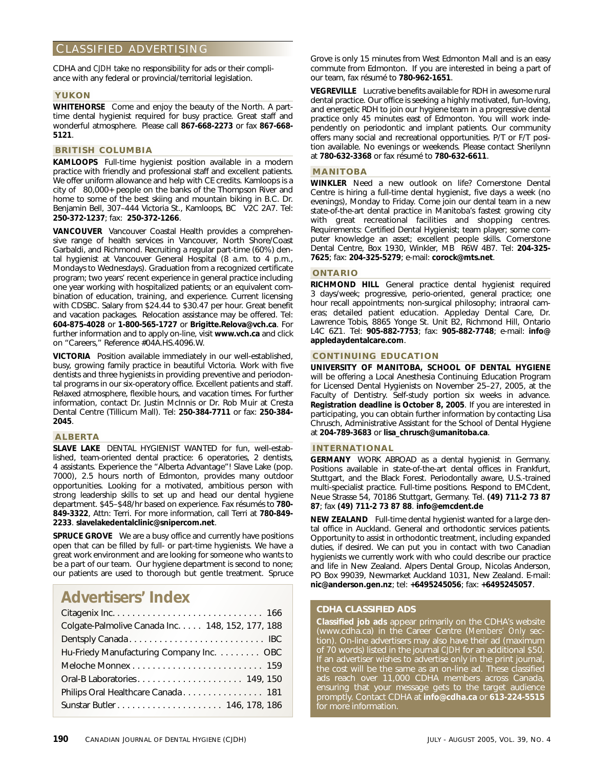### CLASSIFIED ADVERTISING

CDHA and *CJDH* take no responsibility for ads or their compliance with any federal or provincial/territorial legislation.

### **YUKON**

**WHITEHORSE** Come and enjoy the beauty of the North. A parttime dental hygienist required for busy practice. Great staff and wonderful atmosphere. Please call **867-668-2273** or fax **867-668- 5121**.

### **BRITISH COLUMBIA**

**KAMLOOPS** Full-time hygienist position available in a modern practice with friendly and professional staff and excellent patients. We offer uniform allowance and help with CE credits. Kamloops is a city of 80,000+ people on the banks of the Thompson River and home to some of the best skiing and mountain biking in B.C. Dr. Benjamin Bell, 307–444 Victoria St., Kamloops, BC V2C 2A7. Tel: **250-372-1237**; fax: **250-372-1266**.

**VANCOUVER** Vancouver Coastal Health provides a comprehensive range of health services in Vancouver, North Shore/Coast Garbaldi, and Richmond. Recruiting a regular part-time (60%) dental hygienist at Vancouver General Hospital (8 a.m. to 4 p.m., Mondays to Wednesdays). Graduation from a recognized certificate program; two years' recent experience in general practice including one year working with hospitalized patients; or an equivalent combination of education, training, and experience. Current licensing with CDSBC. Salary from \$24.44 to \$30.47 per hour. Great benefit and vacation packages. Relocation assistance may be offered. Tel: **604-875-4028** or **1-800-565-1727** or **Brigitte.Relova@vch.ca**. For further information and to apply on-line, visit **www.vch.ca** and click on "Careers," Reference #04A.HS.4096.W.

**VICTORIA** Position available immediately in our well-established, busy, growing family practice in beautiful Victoria. Work with five dentists and three hygienists in providing preventive and periodontal programs in our six-operatory office. Excellent patients and staff. Relaxed atmosphere, flexible hours, and vacation times. For further information, contact Dr. Justin McInnis or Dr. Rob Muir at Cresta Dental Centre (Tillicum Mall). Tel: **250-384-7711** or fax: **250-384- 2045**.

### **ALBERTA**

**SLAVE LAKE** DENTAL HYGIENIST WANTED for fun, well-established, team-oriented dental practice: 6 operatories, 2 dentists, 4 assistants. Experience the "Alberta Advantage"! Slave Lake (pop. 7000), 2.5 hours north of Edmonton, provides many outdoor opportunities. Looking for a motivated, ambitious person with strong leadership skills to set up and head our dental hygiene department. \$45–\$48/hr based on experience. Fax résumés to **780- 849-3322**, Attn: Terri. For more information, call Terri at **780-849- 2233**. **slavelakedentalclinic@snipercom.net**.

**SPRUCE GROVE** We are a busy office and currently have positions open that can be filled by full- or part-time hygienists. We have a great work environment and are looking for someone who wants to be a part of our team. Our hygiene department is second to none; our patients are used to thorough but gentle treatment. Spruce

### **Advertisers' Index**

Grove is only 15 minutes from West Edmonton Mall and is an easy commute from Edmonton. If you are interested in being a part of our team, fax résumé to **780-962-1651**.

**VEGREVILLE** Lucrative benefits available for RDH in awesome rural dental practice. Our office is seeking a highly motivated, fun-loving, and energetic RDH to join our hygiene team in a progressive dental practice only 45 minutes east of Edmonton. You will work independently on periodontic and implant patients. Our community offers many social and recreational opportunities. P/T or F/T position available. No evenings or weekends. Please contact Sherilynn at **780-632-3368** or fax résumé to **780-632-6611**.

### **MANITOBA**

**WINKLER** Need a new outlook on life? Cornerstone Dental Centre is hiring a full-time dental hygienist, five days a week (no evenings), Monday to Friday. Come join our dental team in a new state-of-the-art dental practice in Manitoba's fastest growing city with great recreational facilities and shopping centres. Requirements: Certified Dental Hygienist; team player; some computer knowledge an asset; excellent people skills. Cornerstone Dental Centre, Box 1930, Winkler, MB R6W 4B7. Tel: **204-325- 7625**; fax: **204-325-5279**; e-mail: **corock@mts.net**.

### **ONTARIO**

**RICHMOND HILL** General practice dental hygienist required 3 days/week; progressive, perio-oriented, general practice; one hour recall appointments; non-surgical philosophy; intraoral cameras; detailed patient education. Appleday Dental Care, Dr. Lawrence Tobis, 8865 Yonge St. Unit B2, Richmond Hill, Ontario L4C 6Z1. Tel: **905-882-7753**; fax: **905-882-7748**; e-mail: **info@ appledaydentalcare.com**.

### **CONTINUING EDUCATION**

**UNIVERSITY OF MANITOBA, SCHOOL OF DENTAL HYGIENE** will be offering a Local Anesthesia Continuing Education Program for Licensed Dental Hygienists on November 25–27, 2005, at the Faculty of Dentistry. Self-study portion six weeks in advance. **Registration deadline is October 8, 2005**. If you are interested in participating, you can obtain further information by contacting Lisa Chrusch, Administrative Assistant for the School of Dental Hygiene at **204-789-3683** or **lisa\_chrusch@umanitoba.ca**.

### **INTERNATIONAL**

**GERMANY** WORK ABROAD as a dental hygienist in Germany. Positions available in state-of-the-art dental offices in Frankfurt, Stuttgart, and the Black Forest. Periodontally aware, U.S.-trained multi-specialist practice. Full-time positions. Respond to EMCdent, Neue Strasse 54, 70186 Stuttgart, Germany. Tel. **(49) 711-2 73 87 87**; fax **(49) 711-2 73 87 88**. **info@emcdent.de**

**NEW ZEALAND** Full-time dental hygienist wanted for a large dental office in Auckland. General and orthodontic services patients. Opportunity to assist in orthodontic treatment, including expanded duties, if desired. We can put you in contact with two Canadian hygienists we currently work with who could describe our practice and life in New Zealand. Alpers Dental Group, Nicolas Anderson, PO Box 99039, Newmarket Auckland 1031, New Zealand. E-mail: **nic@anderson.gen.nz**; tel: **+6495245056**; fax: **+6495245057**.

### **CDHA CLASSIFIED ADS**

**Classified job ads** appear primarily on the CDHA's website (www.cdha.ca) in the Career Centre (*Members' Only* section). On-line advertisers may also have their ad (maximum of 70 words) listed in the journal *CJDH* for an additional \$50. If an advertiser wishes to advertise only in the print journal, the cost will be the same as an on-line ad. These classified ads reach over 11,000 CDHA members across Canada, ensuring that your message gets to the target audience promptly. Contact CDHA at **info@cdha.ca** or **613-224-5515** for more information.